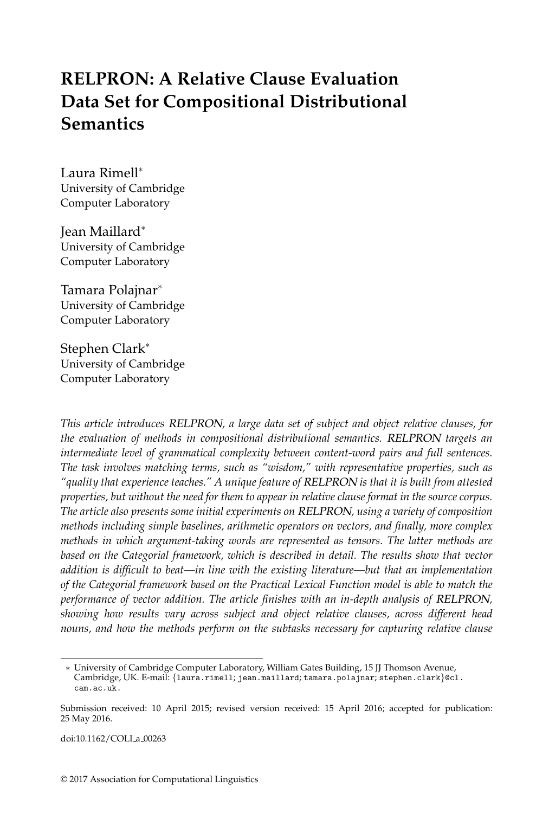# **RELPRON: A Relative Clause Evaluation Data Set for Compositional Distributional Semantics**

Laura Rimell<sup>∗</sup> University of Cambridge Computer Laboratory

Jean Maillard<sup>∗</sup> University of Cambridge Computer Laboratory

Tamara Polajnar<sup>∗</sup> University of Cambridge Computer Laboratory

Stephen Clark<sup>∗</sup> University of Cambridge Computer Laboratory

*This article introduces* RELPRON*, a large data set of subject and object relative clauses, for the evaluation of methods in compositional distributional semantics.* RELPRON *targets an intermediate level of grammatical complexity between content-word pairs and full sentences. The task involves matching terms, such as "wisdom," with representative properties, such as "quality that experience teaches." A unique feature of* RELPRON *is that it is built from attested properties, but without the need for them to appear in relative clause format in the source corpus. The article also presents some initial experiments on* RELPRON*, using a variety of composition methods including simple baselines, arithmetic operators on vectors, and finally, more complex methods in which argument-taking words are represented as tensors. The latter methods are based on the Categorial framework, which is described in detail. The results show that vector addition is difficult to beat—in line with the existing literature—but that an implementation of the Categorial framework based on the Practical Lexical Function model is able to match the performance of vector addition. The article finishes with an in-depth analysis of* RELPRON*, showing how results vary across subject and object relative clauses, across different head nouns, and how the methods perform on the subtasks necessary for capturing relative clause*

doi:10.1162/COLI a 00263

<sup>∗</sup> University of Cambridge Computer Laboratory, William Gates Building, 15 JJ Thomson Avenue, Cambridge, UK. E-mail: {laura.rimell; jean.maillard; tamara.polajnar; stephen.clark}@cl. cam.ac.uk.

Submission received: 10 April 2015; revised version received: 15 April 2016; accepted for publication: 25 May 2016.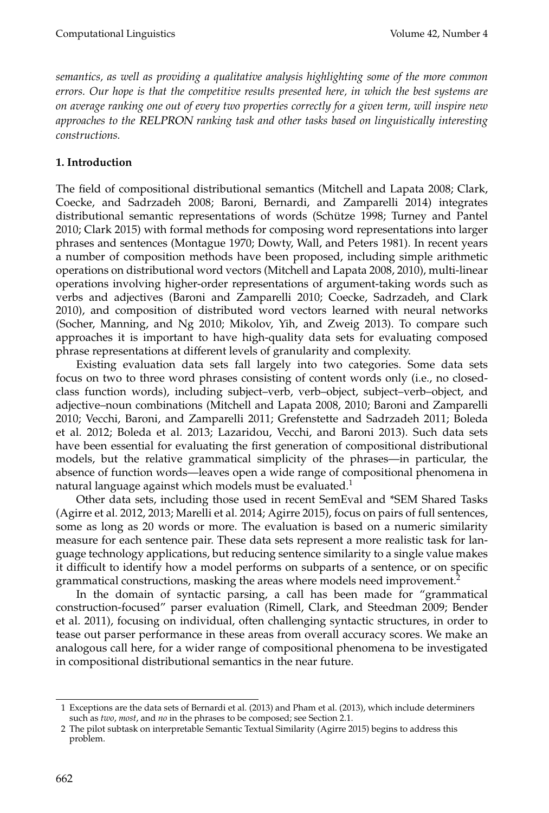*semantics, as well as providing a qualitative analysis highlighting some of the more common errors. Our hope is that the competitive results presented here, in which the best systems are on average ranking one out of every two properties correctly for a given term, will inspire new approaches to the* RELPRON *ranking task and other tasks based on linguistically interesting constructions.*

# **1. Introduction**

The field of compositional distributional semantics (Mitchell and Lapata 2008; Clark, Coecke, and Sadrzadeh 2008; Baroni, Bernardi, and Zamparelli 2014) integrates distributional semantic representations of words (Schütze 1998; Turney and Pantel 2010; Clark 2015) with formal methods for composing word representations into larger phrases and sentences (Montague 1970; Dowty, Wall, and Peters 1981). In recent years a number of composition methods have been proposed, including simple arithmetic operations on distributional word vectors (Mitchell and Lapata 2008, 2010), multi-linear operations involving higher-order representations of argument-taking words such as verbs and adjectives (Baroni and Zamparelli 2010; Coecke, Sadrzadeh, and Clark 2010), and composition of distributed word vectors learned with neural networks (Socher, Manning, and Ng 2010; Mikolov, Yih, and Zweig 2013). To compare such approaches it is important to have high-quality data sets for evaluating composed phrase representations at different levels of granularity and complexity.

Existing evaluation data sets fall largely into two categories. Some data sets focus on two to three word phrases consisting of content words only (i.e., no closedclass function words), including subject–verb, verb–object, subject–verb–object, and adjective–noun combinations (Mitchell and Lapata 2008, 2010; Baroni and Zamparelli 2010; Vecchi, Baroni, and Zamparelli 2011; Grefenstette and Sadrzadeh 2011; Boleda et al. 2012; Boleda et al. 2013; Lazaridou, Vecchi, and Baroni 2013). Such data sets have been essential for evaluating the first generation of compositional distributional models, but the relative grammatical simplicity of the phrases—in particular, the absence of function words—leaves open a wide range of compositional phenomena in natural language against which models must be evaluated.<sup>1</sup>

Other data sets, including those used in recent SemEval and \*SEM Shared Tasks (Agirre et al. 2012, 2013; Marelli et al. 2014; Agirre 2015), focus on pairs of full sentences, some as long as 20 words or more. The evaluation is based on a numeric similarity measure for each sentence pair. These data sets represent a more realistic task for language technology applications, but reducing sentence similarity to a single value makes it difficult to identify how a model performs on subparts of a sentence, or on specific grammatical constructions, masking the areas where models need improvement.<sup>2</sup>

In the domain of syntactic parsing, a call has been made for "grammatical construction-focused" parser evaluation (Rimell, Clark, and Steedman 2009; Bender et al. 2011), focusing on individual, often challenging syntactic structures, in order to tease out parser performance in these areas from overall accuracy scores. We make an analogous call here, for a wider range of compositional phenomena to be investigated in compositional distributional semantics in the near future.

<sup>1</sup> Exceptions are the data sets of Bernardi et al. (2013) and Pham et al. (2013), which include determiners such as *two*, *most*, and *no* in the phrases to be composed; see Section 2.1.

<sup>2</sup> The pilot subtask on interpretable Semantic Textual Similarity (Agirre 2015) begins to address this problem.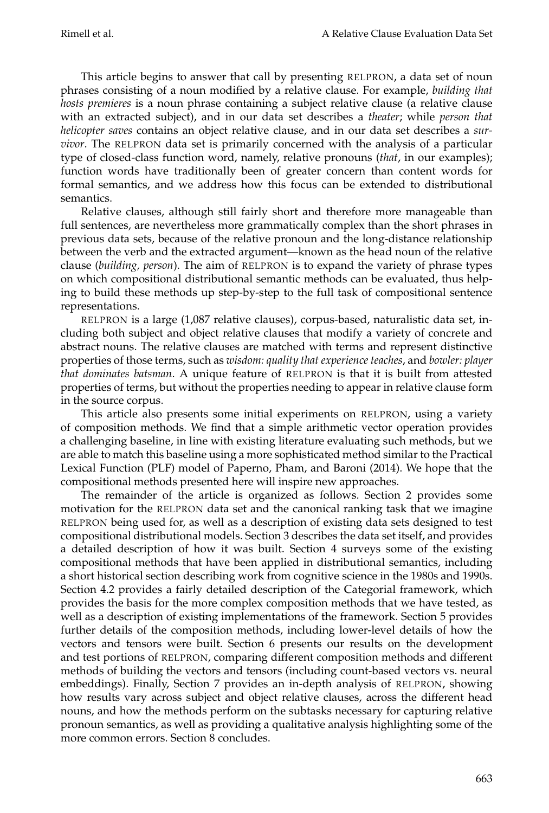This article begins to answer that call by presenting RELPRON, a data set of noun phrases consisting of a noun modified by a relative clause. For example, *building that hosts premieres* is a noun phrase containing a subject relative clause (a relative clause with an extracted subject), and in our data set describes a *theater*; while *person that helicopter saves* contains an object relative clause, and in our data set describes a *survivor*. The RELPRON data set is primarily concerned with the analysis of a particular type of closed-class function word, namely, relative pronouns (*that*, in our examples); function words have traditionally been of greater concern than content words for formal semantics, and we address how this focus can be extended to distributional semantics.

Relative clauses, although still fairly short and therefore more manageable than full sentences, are nevertheless more grammatically complex than the short phrases in previous data sets, because of the relative pronoun and the long-distance relationship between the verb and the extracted argument—known as the head noun of the relative clause (*building, person*). The aim of RELPRON is to expand the variety of phrase types on which compositional distributional semantic methods can be evaluated, thus helping to build these methods up step-by-step to the full task of compositional sentence representations.

RELPRON is a large (1,087 relative clauses), corpus-based, naturalistic data set, including both subject and object relative clauses that modify a variety of concrete and abstract nouns. The relative clauses are matched with terms and represent distinctive properties of those terms, such as *wisdom: quality that experience teaches*, and *bowler: player that dominates batsman*. A unique feature of RELPRON is that it is built from attested properties of terms, but without the properties needing to appear in relative clause form in the source corpus.

This article also presents some initial experiments on RELPRON, using a variety of composition methods. We find that a simple arithmetic vector operation provides a challenging baseline, in line with existing literature evaluating such methods, but we are able to match this baseline using a more sophisticated method similar to the Practical Lexical Function (PLF) model of Paperno, Pham, and Baroni (2014). We hope that the compositional methods presented here will inspire new approaches.

The remainder of the article is organized as follows. Section 2 provides some motivation for the RELPRON data set and the canonical ranking task that we imagine RELPRON being used for, as well as a description of existing data sets designed to test compositional distributional models. Section 3 describes the data set itself, and provides a detailed description of how it was built. Section 4 surveys some of the existing compositional methods that have been applied in distributional semantics, including a short historical section describing work from cognitive science in the 1980s and 1990s. Section 4.2 provides a fairly detailed description of the Categorial framework, which provides the basis for the more complex composition methods that we have tested, as well as a description of existing implementations of the framework. Section 5 provides further details of the composition methods, including lower-level details of how the vectors and tensors were built. Section 6 presents our results on the development and test portions of RELPRON, comparing different composition methods and different methods of building the vectors and tensors (including count-based vectors vs. neural embeddings). Finally, Section 7 provides an in-depth analysis of RELPRON, showing how results vary across subject and object relative clauses, across the different head nouns, and how the methods perform on the subtasks necessary for capturing relative pronoun semantics, as well as providing a qualitative analysis highlighting some of the more common errors. Section 8 concludes.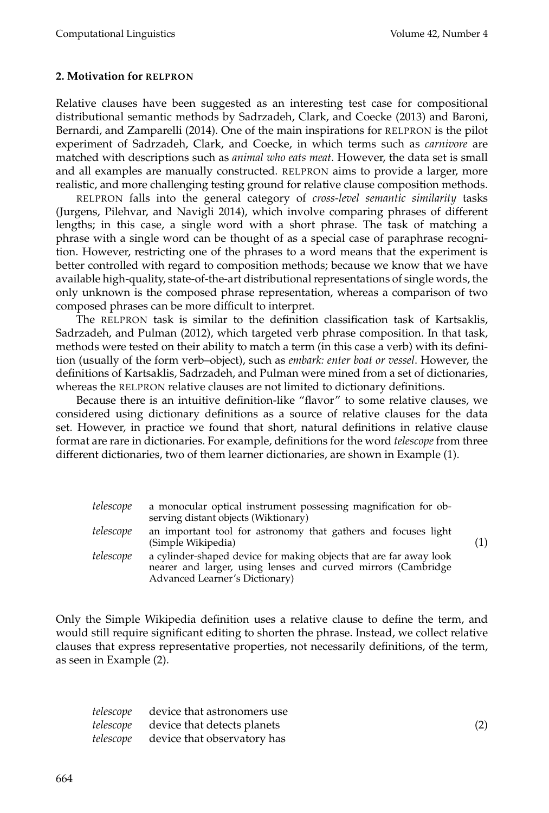#### **2. Motivation for RELPRON**

Relative clauses have been suggested as an interesting test case for compositional distributional semantic methods by Sadrzadeh, Clark, and Coecke (2013) and Baroni, Bernardi, and Zamparelli (2014). One of the main inspirations for RELPRON is the pilot experiment of Sadrzadeh, Clark, and Coecke, in which terms such as *carnivore* are matched with descriptions such as *animal who eats meat*. However, the data set is small and all examples are manually constructed. RELPRON aims to provide a larger, more realistic, and more challenging testing ground for relative clause composition methods.

RELPRON falls into the general category of *cross-level semantic similarity* tasks (Jurgens, Pilehvar, and Navigli 2014), which involve comparing phrases of different lengths; in this case, a single word with a short phrase. The task of matching a phrase with a single word can be thought of as a special case of paraphrase recognition. However, restricting one of the phrases to a word means that the experiment is better controlled with regard to composition methods; because we know that we have available high-quality, state-of-the-art distributional representations of single words, the only unknown is the composed phrase representation, whereas a comparison of two composed phrases can be more difficult to interpret.

The RELPRON task is similar to the definition classification task of Kartsaklis, Sadrzadeh, and Pulman (2012), which targeted verb phrase composition. In that task, methods were tested on their ability to match a term (in this case a verb) with its definition (usually of the form verb–object), such as *embark: enter boat or vessel*. However, the definitions of Kartsaklis, Sadrzadeh, and Pulman were mined from a set of dictionaries, whereas the RELPRON relative clauses are not limited to dictionary definitions.

Because there is an intuitive definition-like "flavor" to some relative clauses, we considered using dictionary definitions as a source of relative clauses for the data set. However, in practice we found that short, natural definitions in relative clause format are rare in dictionaries. For example, definitions for the word *telescope* from three different dictionaries, two of them learner dictionaries, are shown in Example (1).

| telescope | a monocular optical instrument possessing magnification for ob-<br>serving distant objects (Wiktionary)                                                               |  |
|-----------|-----------------------------------------------------------------------------------------------------------------------------------------------------------------------|--|
| telescope | an important tool for astronomy that gathers and focuses light<br>(Simple Wikipedia)                                                                                  |  |
| telescope | a cylinder-shaped device for making objects that are far away look<br>nearer and larger, using lenses and curved mirrors (Cambridge<br>Advanced Learner's Dictionary) |  |

Only the Simple Wikipedia definition uses a relative clause to define the term, and would still require significant editing to shorten the phrase. Instead, we collect relative clauses that express representative properties, not necessarily definitions, of the term, as seen in Example (2).

| telescope | device that astronomers use |
|-----------|-----------------------------|
| telescope | device that detects planets |
| telescope | device that observatory has |

(2)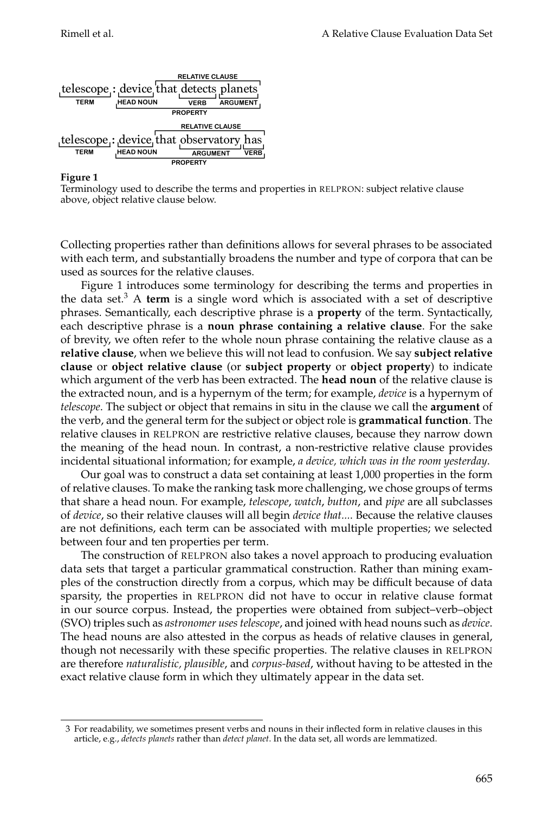

#### **Figure 1**

Terminology used to describe the terms and properties in RELPRON: subject relative clause above, object relative clause below.

Collecting properties rather than definitions allows for several phrases to be associated with each term, and substantially broadens the number and type of corpora that can be used as sources for the relative clauses.

Figure 1 introduces some terminology for describing the terms and properties in the data set.<sup>3</sup> A **term** is a single word which is associated with a set of descriptive phrases. Semantically, each descriptive phrase is a **property** of the term. Syntactically, each descriptive phrase is a **noun phrase containing a relative clause**. For the sake of brevity, we often refer to the whole noun phrase containing the relative clause as a **relative clause**, when we believe this will not lead to confusion. We say **subject relative clause** or **object relative clause** (or **subject property** or **object property**) to indicate which argument of the verb has been extracted. The **head noun** of the relative clause is the extracted noun, and is a hypernym of the term; for example, *device* is a hypernym of *telescope*. The subject or object that remains in situ in the clause we call the **argument** of the verb, and the general term for the subject or object role is **grammatical function**. The relative clauses in RELPRON are restrictive relative clauses, because they narrow down the meaning of the head noun. In contrast, a non-restrictive relative clause provides incidental situational information; for example, *a device, which was in the room yesterday*.

Our goal was to construct a data set containing at least 1,000 properties in the form of relative clauses. To make the ranking task more challenging, we chose groups of terms that share a head noun. For example, *telescope*, *watch*, *button*, and *pipe* are all subclasses of *device*, so their relative clauses will all begin *device that...*. Because the relative clauses are not definitions, each term can be associated with multiple properties; we selected between four and ten properties per term.

The construction of RELPRON also takes a novel approach to producing evaluation data sets that target a particular grammatical construction. Rather than mining examples of the construction directly from a corpus, which may be difficult because of data sparsity, the properties in RELPRON did not have to occur in relative clause format in our source corpus. Instead, the properties were obtained from subject–verb–object (SVO) triples such as *astronomer uses telescope*, and joined with head nouns such as *device*. The head nouns are also attested in the corpus as heads of relative clauses in general, though not necessarily with these specific properties. The relative clauses in RELPRON are therefore *naturalistic, plausible*, and *corpus-based*, without having to be attested in the exact relative clause form in which they ultimately appear in the data set.

<sup>3</sup> For readability, we sometimes present verbs and nouns in their inflected form in relative clauses in this article, e.g., *detects planets* rather than *detect planet*. In the data set, all words are lemmatized.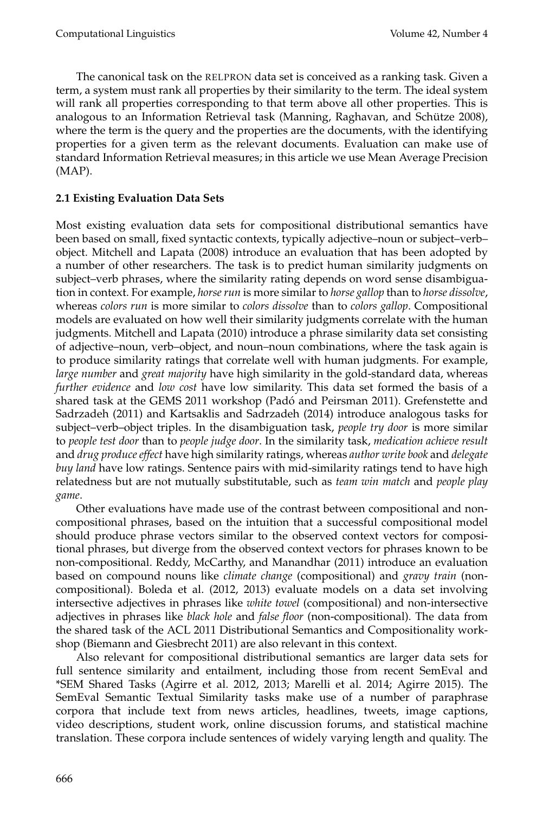The canonical task on the RELPRON data set is conceived as a ranking task. Given a term, a system must rank all properties by their similarity to the term. The ideal system will rank all properties corresponding to that term above all other properties. This is analogous to an Information Retrieval task (Manning, Raghavan, and Schütze 2008), where the term is the query and the properties are the documents, with the identifying properties for a given term as the relevant documents. Evaluation can make use of standard Information Retrieval measures; in this article we use Mean Average Precision (MAP).

# **2.1 Existing Evaluation Data Sets**

Most existing evaluation data sets for compositional distributional semantics have been based on small, fixed syntactic contexts, typically adjective–noun or subject–verb– object. Mitchell and Lapata (2008) introduce an evaluation that has been adopted by a number of other researchers. The task is to predict human similarity judgments on subject–verb phrases, where the similarity rating depends on word sense disambiguation in context. For example, *horse run* is more similar to *horse gallop* than to *horse dissolve*, whereas *colors run* is more similar to *colors dissolve* than to *colors gallop*. Compositional models are evaluated on how well their similarity judgments correlate with the human judgments. Mitchell and Lapata (2010) introduce a phrase similarity data set consisting of adjective–noun, verb–object, and noun–noun combinations, where the task again is to produce similarity ratings that correlate well with human judgments. For example, *large number* and *great majority* have high similarity in the gold-standard data, whereas *further evidence* and *low cost* have low similarity. This data set formed the basis of a shared task at the GEMS 2011 workshop (Padó and Peirsman 2011). Grefenstette and Sadrzadeh (2011) and Kartsaklis and Sadrzadeh (2014) introduce analogous tasks for subject–verb–object triples. In the disambiguation task, *people try door* is more similar to *people test door* than to *people judge door*. In the similarity task, *medication achieve result* and *drug produce effect* have high similarity ratings, whereas *author write book* and *delegate buy land* have low ratings. Sentence pairs with mid-similarity ratings tend to have high relatedness but are not mutually substitutable, such as *team win match* and *people play game*.

Other evaluations have made use of the contrast between compositional and noncompositional phrases, based on the intuition that a successful compositional model should produce phrase vectors similar to the observed context vectors for compositional phrases, but diverge from the observed context vectors for phrases known to be non-compositional. Reddy, McCarthy, and Manandhar (2011) introduce an evaluation based on compound nouns like *climate change* (compositional) and *gravy train* (noncompositional). Boleda et al. (2012, 2013) evaluate models on a data set involving intersective adjectives in phrases like *white towel* (compositional) and non-intersective adjectives in phrases like *black hole* and *false floor* (non-compositional). The data from the shared task of the ACL 2011 Distributional Semantics and Compositionality workshop (Biemann and Giesbrecht 2011) are also relevant in this context.

Also relevant for compositional distributional semantics are larger data sets for full sentence similarity and entailment, including those from recent SemEval and \*SEM Shared Tasks (Agirre et al. 2012, 2013; Marelli et al. 2014; Agirre 2015). The SemEval Semantic Textual Similarity tasks make use of a number of paraphrase corpora that include text from news articles, headlines, tweets, image captions, video descriptions, student work, online discussion forums, and statistical machine translation. These corpora include sentences of widely varying length and quality. The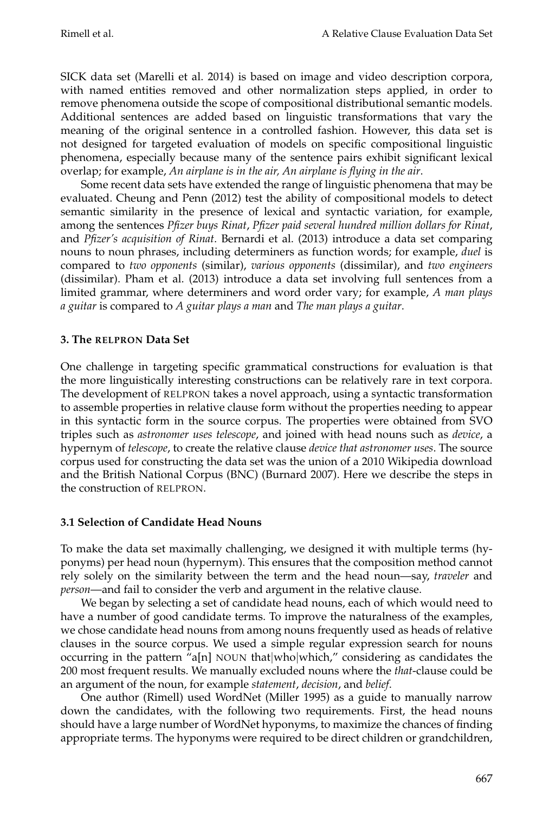SICK data set (Marelli et al. 2014) is based on image and video description corpora, with named entities removed and other normalization steps applied, in order to remove phenomena outside the scope of compositional distributional semantic models. Additional sentences are added based on linguistic transformations that vary the meaning of the original sentence in a controlled fashion. However, this data set is not designed for targeted evaluation of models on specific compositional linguistic phenomena, especially because many of the sentence pairs exhibit significant lexical overlap; for example, *An airplane is in the air, An airplane is flying in the air*.

Some recent data sets have extended the range of linguistic phenomena that may be evaluated. Cheung and Penn (2012) test the ability of compositional models to detect semantic similarity in the presence of lexical and syntactic variation, for example, among the sentences *Pfizer buys Rinat*, *Pfizer paid several hundred million dollars for Rinat*, and *Pfizer's acquisition of Rinat*. Bernardi et al. (2013) introduce a data set comparing nouns to noun phrases, including determiners as function words; for example, *duel* is compared to *two opponents* (similar), *various opponents* (dissimilar), and *two engineers* (dissimilar). Pham et al. (2013) introduce a data set involving full sentences from a limited grammar, where determiners and word order vary; for example, *A man plays a guitar* is compared to *A guitar plays a man* and *The man plays a guitar*.

### **3. The RELPRON Data Set**

One challenge in targeting specific grammatical constructions for evaluation is that the more linguistically interesting constructions can be relatively rare in text corpora. The development of RELPRON takes a novel approach, using a syntactic transformation to assemble properties in relative clause form without the properties needing to appear in this syntactic form in the source corpus. The properties were obtained from SVO triples such as *astronomer uses telescope*, and joined with head nouns such as *device*, a hypernym of *telescope*, to create the relative clause *device that astronomer uses*. The source corpus used for constructing the data set was the union of a 2010 Wikipedia download and the British National Corpus (BNC) (Burnard 2007). Here we describe the steps in the construction of RELPRON.

# **3.1 Selection of Candidate Head Nouns**

To make the data set maximally challenging, we designed it with multiple terms (hyponyms) per head noun (hypernym). This ensures that the composition method cannot rely solely on the similarity between the term and the head noun—say, *traveler* and *person*—and fail to consider the verb and argument in the relative clause.

We began by selecting a set of candidate head nouns, each of which would need to have a number of good candidate terms. To improve the naturalness of the examples, we chose candidate head nouns from among nouns frequently used as heads of relative clauses in the source corpus. We used a simple regular expression search for nouns occurring in the pattern "a[n] NOUN that  $|who|$  which," considering as candidates the 200 most frequent results. We manually excluded nouns where the *that*-clause could be an argument of the noun, for example *statement*, *decision*, and *belief*.

One author (Rimell) used WordNet (Miller 1995) as a guide to manually narrow down the candidates, with the following two requirements. First, the head nouns should have a large number of WordNet hyponyms, to maximize the chances of finding appropriate terms. The hyponyms were required to be direct children or grandchildren,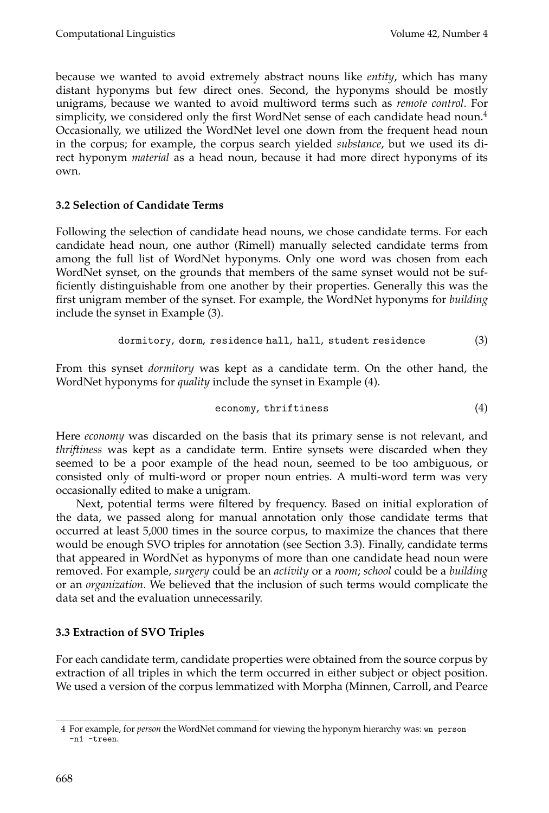because we wanted to avoid extremely abstract nouns like *entity*, which has many distant hyponyms but few direct ones. Second, the hyponyms should be mostly unigrams, because we wanted to avoid multiword terms such as *remote control*. For simplicity, we considered only the first WordNet sense of each candidate head noun. $4$ Occasionally, we utilized the WordNet level one down from the frequent head noun in the corpus; for example, the corpus search yielded *substance*, but we used its direct hyponym *material* as a head noun, because it had more direct hyponyms of its own.

### **3.2 Selection of Candidate Terms**

Following the selection of candidate head nouns, we chose candidate terms. For each candidate head noun, one author (Rimell) manually selected candidate terms from among the full list of WordNet hyponyms. Only one word was chosen from each WordNet synset, on the grounds that members of the same synset would not be sufficiently distinguishable from one another by their properties. Generally this was the first unigram member of the synset. For example, the WordNet hyponyms for *building* include the synset in Example (3).

dormitory, dorm, residence hall, hall, student residence (3)

From this synset *dormitory* was kept as a candidate term. On the other hand, the WordNet hyponyms for *quality* include the synset in Example (4).

$$
\hbox{economy, triftiness} \qquad \qquad (4)
$$

Here *economy* was discarded on the basis that its primary sense is not relevant, and *thriftiness* was kept as a candidate term. Entire synsets were discarded when they seemed to be a poor example of the head noun, seemed to be too ambiguous, or consisted only of multi-word or proper noun entries. A multi-word term was very occasionally edited to make a unigram.

Next, potential terms were filtered by frequency. Based on initial exploration of the data, we passed along for manual annotation only those candidate terms that occurred at least 5,000 times in the source corpus, to maximize the chances that there would be enough SVO triples for annotation (see Section 3.3). Finally, candidate terms that appeared in WordNet as hyponyms of more than one candidate head noun were removed. For example, *surgery* could be an *activity* or a *room*; *school* could be a *building* or an *organization*. We believed that the inclusion of such terms would complicate the data set and the evaluation unnecessarily.

# **3.3 Extraction of SVO Triples**

For each candidate term, candidate properties were obtained from the source corpus by extraction of all triples in which the term occurred in either subject or object position. We used a version of the corpus lemmatized with Morpha (Minnen, Carroll, and Pearce

<sup>4</sup> For example, for *person* the WordNet command for viewing the hyponym hierarchy was: wn person -n1 -treen.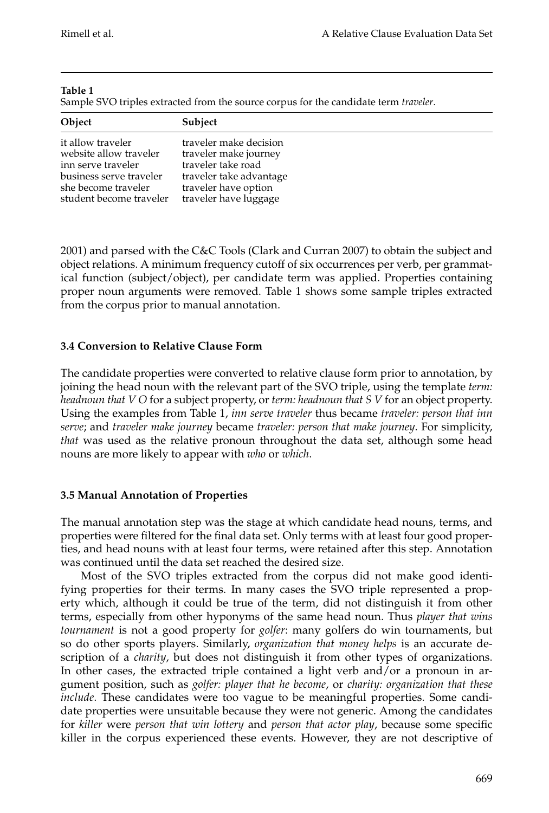Sample SVO triples extracted from the source corpus for the candidate term *traveler*.

| Object                  | Subject                 |
|-------------------------|-------------------------|
| it allow traveler       | traveler make decision  |
| website allow traveler  | traveler make journey   |
| inn serve traveler      | traveler take road      |
| business serve traveler | traveler take advantage |
| she become traveler     | traveler have option    |
| student become traveler | traveler have luggage   |

2001) and parsed with the C&C Tools (Clark and Curran 2007) to obtain the subject and object relations. A minimum frequency cutoff of six occurrences per verb, per grammatical function (subject/object), per candidate term was applied. Properties containing proper noun arguments were removed. Table 1 shows some sample triples extracted from the corpus prior to manual annotation.

#### **3.4 Conversion to Relative Clause Form**

The candidate properties were converted to relative clause form prior to annotation, by joining the head noun with the relevant part of the SVO triple, using the template *term: headnoun that V O* for a subject property, or *term: headnoun that S V* for an object property. Using the examples from Table 1, *inn serve traveler* thus became *traveler: person that inn serve*; and *traveler make journey* became *traveler: person that make journey*. For simplicity, *that* was used as the relative pronoun throughout the data set, although some head nouns are more likely to appear with *who* or *which*.

#### **3.5 Manual Annotation of Properties**

The manual annotation step was the stage at which candidate head nouns, terms, and properties were filtered for the final data set. Only terms with at least four good properties, and head nouns with at least four terms, were retained after this step. Annotation was continued until the data set reached the desired size.

Most of the SVO triples extracted from the corpus did not make good identifying properties for their terms. In many cases the SVO triple represented a property which, although it could be true of the term, did not distinguish it from other terms, especially from other hyponyms of the same head noun. Thus *player that wins tournament* is not a good property for *golfer*: many golfers do win tournaments, but so do other sports players. Similarly, *organization that money helps* is an accurate description of a *charity*, but does not distinguish it from other types of organizations. In other cases, the extracted triple contained a light verb and/or a pronoun in argument position, such as *golfer: player that he become*, or *charity: organization that these include*. These candidates were too vague to be meaningful properties. Some candidate properties were unsuitable because they were not generic. Among the candidates for *killer* were *person that win lottery* and *person that actor play*, because some specific killer in the corpus experienced these events. However, they are not descriptive of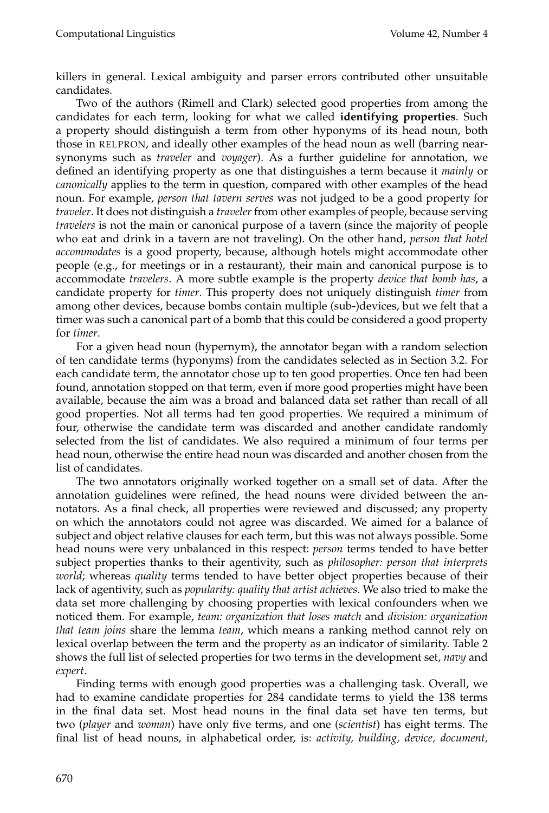killers in general. Lexical ambiguity and parser errors contributed other unsuitable candidates.

Two of the authors (Rimell and Clark) selected good properties from among the candidates for each term, looking for what we called **identifying properties**. Such a property should distinguish a term from other hyponyms of its head noun, both those in RELPRON, and ideally other examples of the head noun as well (barring nearsynonyms such as *traveler* and *voyager*). As a further guideline for annotation, we defined an identifying property as one that distinguishes a term because it *mainly* or *canonically* applies to the term in question, compared with other examples of the head noun. For example, *person that tavern serves* was not judged to be a good property for *traveler*. It does not distinguish a *traveler* from other examples of people, because serving *travelers* is not the main or canonical purpose of a tavern (since the majority of people who eat and drink in a tavern are not traveling). On the other hand, *person that hotel accommodates* is a good property, because, although hotels might accommodate other people (e.g., for meetings or in a restaurant), their main and canonical purpose is to accommodate *travelers*. A more subtle example is the property *device that bomb has*, a candidate property for *timer*. This property does not uniquely distinguish *timer* from among other devices, because bombs contain multiple (sub-)devices, but we felt that a timer was such a canonical part of a bomb that this could be considered a good property for *timer*.

For a given head noun (hypernym), the annotator began with a random selection of ten candidate terms (hyponyms) from the candidates selected as in Section 3.2. For each candidate term, the annotator chose up to ten good properties. Once ten had been found, annotation stopped on that term, even if more good properties might have been available, because the aim was a broad and balanced data set rather than recall of all good properties. Not all terms had ten good properties. We required a minimum of four, otherwise the candidate term was discarded and another candidate randomly selected from the list of candidates. We also required a minimum of four terms per head noun, otherwise the entire head noun was discarded and another chosen from the list of candidates.

The two annotators originally worked together on a small set of data. After the annotation guidelines were refined, the head nouns were divided between the annotators. As a final check, all properties were reviewed and discussed; any property on which the annotators could not agree was discarded. We aimed for a balance of subject and object relative clauses for each term, but this was not always possible. Some head nouns were very unbalanced in this respect: *person* terms tended to have better subject properties thanks to their agentivity, such as *philosopher: person that interprets world*; whereas *quality* terms tended to have better object properties because of their lack of agentivity, such as *popularity: quality that artist achieves*. We also tried to make the data set more challenging by choosing properties with lexical confounders when we noticed them. For example, *team: organization that loses match* and *division: organization that team joins* share the lemma *team*, which means a ranking method cannot rely on lexical overlap between the term and the property as an indicator of similarity. Table 2 shows the full list of selected properties for two terms in the development set, *navy* and *expert*.

Finding terms with enough good properties was a challenging task. Overall, we had to examine candidate properties for 284 candidate terms to yield the 138 terms in the final data set. Most head nouns in the final data set have ten terms, but two (*player* and *woman*) have only five terms, and one (*scientist*) has eight terms. The final list of head nouns, in alphabetical order, is: *activity, building, device, document,*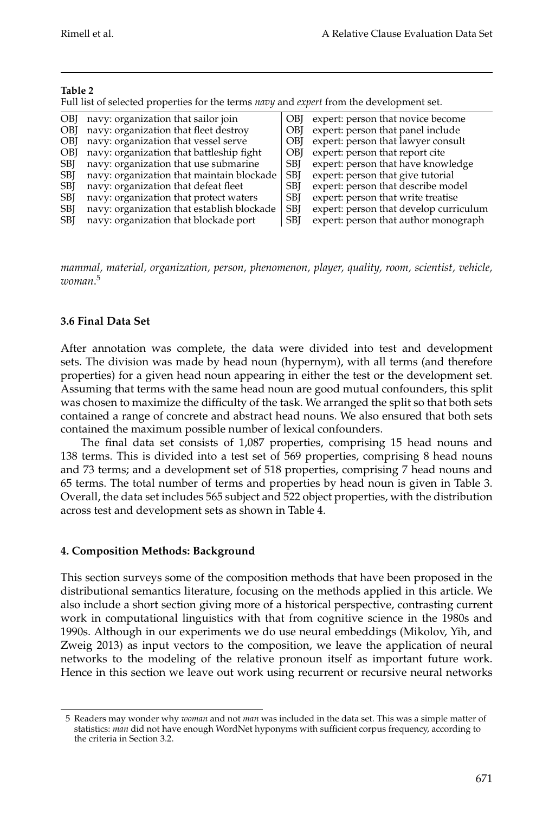Full list of selected properties for the terms *navy* and *expert* from the development set.

| <b>OBI</b> | navy: organization that sailor join        | <b>OBI</b> | expert: person that novice become      |
|------------|--------------------------------------------|------------|----------------------------------------|
| <b>OBI</b> | navy: organization that fleet destroy      | OBI.       | expert: person that panel include      |
| <b>OBI</b> | navy: organization that vessel serve       | <b>OBI</b> | expert: person that lawyer consult     |
| <b>OBI</b> | navy: organization that battleship fight   | <b>OBI</b> | expert: person that report cite        |
| <b>SBI</b> | navy: organization that use submarine      | <b>SBI</b> | expert: person that have knowledge     |
| <b>SBI</b> | navy: organization that maintain blockade  | <b>SBI</b> | expert: person that give tutorial      |
| <b>SBI</b> | navy: organization that defeat fleet       | <b>SBI</b> | expert: person that describe model     |
| <b>SBI</b> | navy: organization that protect waters     | <b>SBI</b> | expert: person that write treatise     |
| <b>SBI</b> | navy: organization that establish blockade | <b>SBI</b> | expert: person that develop curriculum |
| <b>SBI</b> | navy: organization that blockade port      | <b>SBI</b> | expert: person that author monograph   |

*mammal, material, organization, person, phenomenon, player, quality, room, scientist, vehicle, woman*. 5

#### **3.6 Final Data Set**

After annotation was complete, the data were divided into test and development sets. The division was made by head noun (hypernym), with all terms (and therefore properties) for a given head noun appearing in either the test or the development set. Assuming that terms with the same head noun are good mutual confounders, this split was chosen to maximize the difficulty of the task. We arranged the split so that both sets contained a range of concrete and abstract head nouns. We also ensured that both sets contained the maximum possible number of lexical confounders.

The final data set consists of 1,087 properties, comprising 15 head nouns and 138 terms. This is divided into a test set of 569 properties, comprising 8 head nouns and 73 terms; and a development set of 518 properties, comprising 7 head nouns and 65 terms. The total number of terms and properties by head noun is given in Table 3. Overall, the data set includes 565 subject and 522 object properties, with the distribution across test and development sets as shown in Table 4.

#### **4. Composition Methods: Background**

This section surveys some of the composition methods that have been proposed in the distributional semantics literature, focusing on the methods applied in this article. We also include a short section giving more of a historical perspective, contrasting current work in computational linguistics with that from cognitive science in the 1980s and 1990s. Although in our experiments we do use neural embeddings (Mikolov, Yih, and Zweig 2013) as input vectors to the composition, we leave the application of neural networks to the modeling of the relative pronoun itself as important future work. Hence in this section we leave out work using recurrent or recursive neural networks

<sup>5</sup> Readers may wonder why *woman* and not *man* was included in the data set. This was a simple matter of statistics: *man* did not have enough WordNet hyponyms with sufficient corpus frequency, according to the criteria in Section 3.2.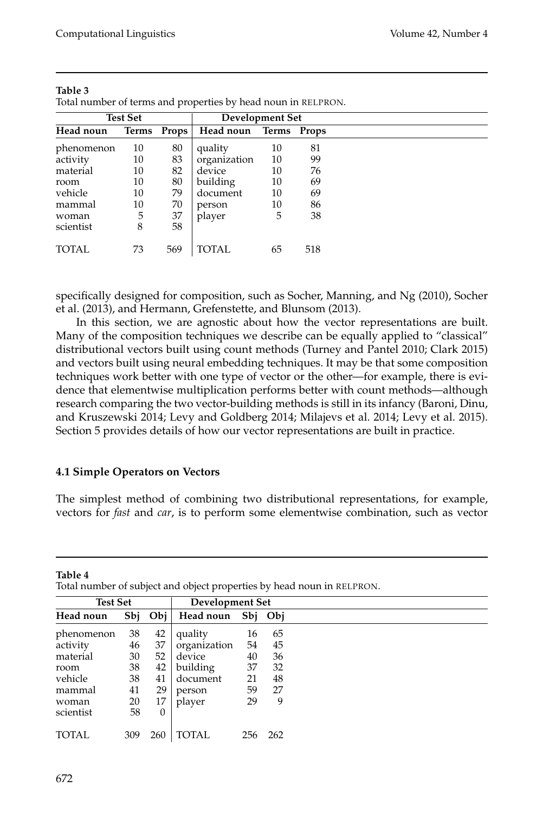|              | <b>Test Set</b> |       | Development Set       |    |     |
|--------------|-----------------|-------|-----------------------|----|-----|
| Head noun    | Terms           | Props | Head noun Terms Props |    |     |
| phenomenon   | 10              | 80    | quality               | 10 | 81  |
| activity     | 10              | 83    | organization          | 10 | 99  |
| material     | 10              | 82    | device                | 10 | 76  |
| room         | 10              | 80    | building              | 10 | 69  |
| vehicle      | 10              | 79    | document              | 10 | 69  |
| mammal       | 10              | 70    | person                | 10 | 86  |
| woman        | 5               | 37    | player                | 5  | 38  |
| scientist    | 8               | 58    |                       |    |     |
| <b>TOTAL</b> | 73              | 569   | TOTAL                 | 65 | 518 |

**Table 3** Total number of terms and properties by head noun in RELPRON.

specifically designed for composition, such as Socher, Manning, and Ng (2010), Socher et al. (2013), and Hermann, Grefenstette, and Blunsom (2013).

In this section, we are agnostic about how the vector representations are built. Many of the composition techniques we describe can be equally applied to "classical" distributional vectors built using count methods (Turney and Pantel 2010; Clark 2015) and vectors built using neural embedding techniques. It may be that some composition techniques work better with one type of vector or the other—for example, there is evidence that elementwise multiplication performs better with count methods—although research comparing the two vector-building methods is still in its infancy (Baroni, Dinu, and Kruszewski 2014; Levy and Goldberg 2014; Milajevs et al. 2014; Levy et al. 2015). Section 5 provides details of how our vector representations are built in practice.

#### **4.1 Simple Operators on Vectors**

The simplest method of combining two distributional representations, for example, vectors for *fast* and *car*, is to perform some elementwise combination, such as vector

| Total number of subject and object properties by head noun in RELPRON. |     |          |                 |     |         |  |  |  |
|------------------------------------------------------------------------|-----|----------|-----------------|-----|---------|--|--|--|
| <b>Test Set</b>                                                        |     |          | Development Set |     |         |  |  |  |
| Head noun                                                              | Sbj | Obj      | Head noun       |     | Sbi Obj |  |  |  |
| phenomenon                                                             | 38  | 42       | quality         | 16  | 65      |  |  |  |
| activity                                                               | 46  | 37       | organization    | 54  | 45      |  |  |  |
| material                                                               | 30  | 52       | device          | 40  | 36      |  |  |  |
| room                                                                   | 38  | 42       | building        | 37  | 32      |  |  |  |
| vehicle                                                                | 38  | 41       | document        | 21  | 48      |  |  |  |
| mammal                                                                 | 41  | 29       | person          | 59  | 27      |  |  |  |
| woman                                                                  | 20  | 17       | player          | 29  | 9       |  |  |  |
| scientist                                                              | 58  | $\theta$ |                 |     |         |  |  |  |
| <b>TOTAL</b>                                                           | 309 | 260      | <b>TOTAL</b>    | 256 | 262     |  |  |  |

**Table 4**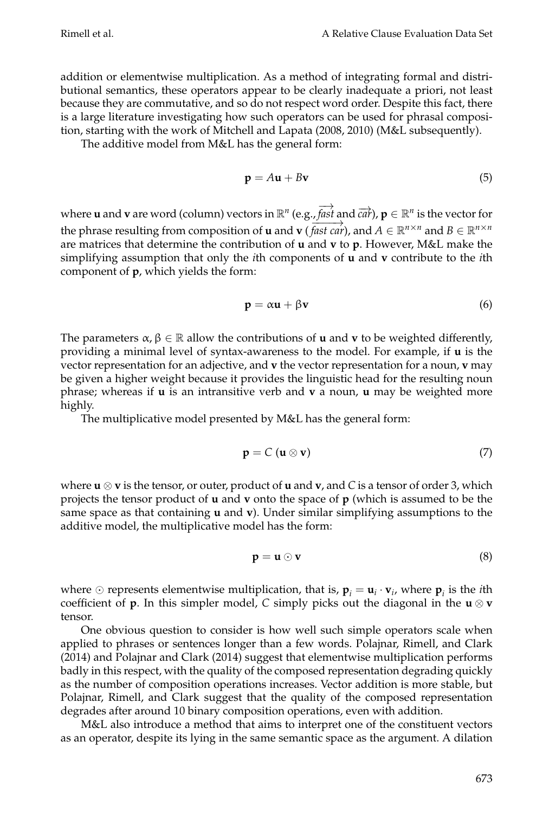addition or elementwise multiplication. As a method of integrating formal and distributional semantics, these operators appear to be clearly inadequate a priori, not least because they are commutative, and so do not respect word order. Despite this fact, there is a large literature investigating how such operators can be used for phrasal composition, starting with the work of Mitchell and Lapata (2008, 2010) (M&L subsequently).

The additive model from M&L has the general form:

$$
\mathbf{p} = A\mathbf{u} + B\mathbf{v} \tag{5}
$$

where **u** and **v** are word (column) vectors in  $\mathbb{R}^n$  (e.g., *fast* and  $\overrightarrow{car}$ ),  $\mathbf{p} \in \mathbb{R}^n$  is the vector for the phrase resulting from composition of **u** and **v** ( $\overline{fast car}$ ), and  $A \in \mathbb{R}^{n \times n}$  and  $B \in \mathbb{R}^{n \times n}$ are matrices that determine the contribution of **u** and **v** to **p**. However, M&L make the simplifying assumption that only the *i*th components of **u** and **v** contribute to the *i*th component of **p**, which yields the form:

$$
\mathbf{p} = \alpha \mathbf{u} + \beta \mathbf{v} \tag{6}
$$

The parameters  $\alpha, \beta \in \mathbb{R}$  allow the contributions of **u** and **v** to be weighted differently, providing a minimal level of syntax-awareness to the model. For example, if **u** is the vector representation for an adjective, and **v** the vector representation for a noun, **v** may be given a higher weight because it provides the linguistic head for the resulting noun phrase; whereas if **u** is an intransitive verb and **v** a noun, **u** may be weighted more highly.

The multiplicative model presented by M&L has the general form:

$$
\mathbf{p} = C \left( \mathbf{u} \otimes \mathbf{v} \right) \tag{7}
$$

where **u** ⊗ **v** is the tensor, or outer, product of **u** and **v**, and *C* is a tensor of order 3, which projects the tensor product of **u** and **v** onto the space of **p** (which is assumed to be the same space as that containing **u** and **v**). Under similar simplifying assumptions to the additive model, the multiplicative model has the form:

$$
\mathbf{p} = \mathbf{u} \odot \mathbf{v} \tag{8}
$$

where  $\odot$  represents elementwise multiplication, that is,  $\mathbf{p}_i = \mathbf{u}_i \cdot \mathbf{v}_i$ , where  $\mathbf{p}_i$  is the *i*th coefficient of **p**. In this simpler model, *C* simply picks out the diagonal in the  $\mathbf{u} \otimes \mathbf{v}$ tensor.

One obvious question to consider is how well such simple operators scale when applied to phrases or sentences longer than a few words. Polajnar, Rimell, and Clark (2014) and Polajnar and Clark (2014) suggest that elementwise multiplication performs badly in this respect, with the quality of the composed representation degrading quickly as the number of composition operations increases. Vector addition is more stable, but Polajnar, Rimell, and Clark suggest that the quality of the composed representation degrades after around 10 binary composition operations, even with addition.

M&L also introduce a method that aims to interpret one of the constituent vectors as an operator, despite its lying in the same semantic space as the argument. A dilation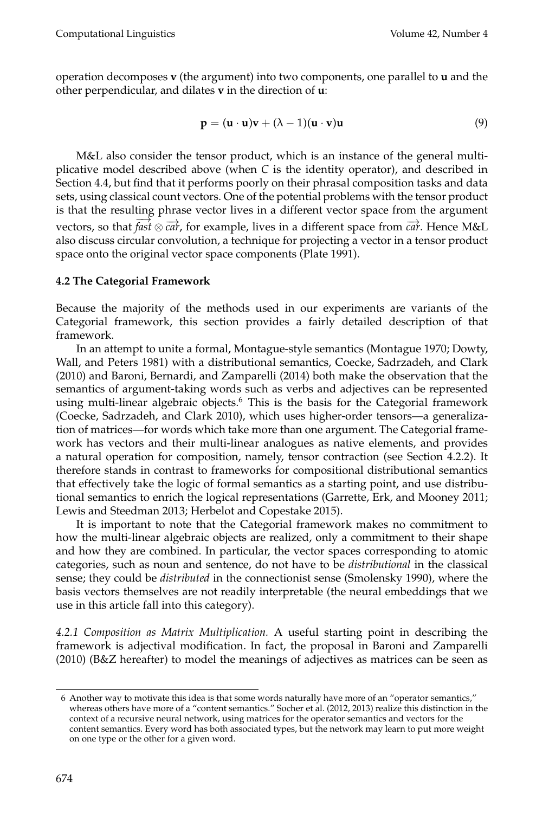operation decomposes **v** (the argument) into two components, one parallel to **u** and the other perpendicular, and dilates **v** in the direction of **u**:

$$
\mathbf{p} = (\mathbf{u} \cdot \mathbf{u})\mathbf{v} + (\lambda - 1)(\mathbf{u} \cdot \mathbf{v})\mathbf{u}
$$
 (9)

M&L also consider the tensor product, which is an instance of the general multiplicative model described above (when *C* is the identity operator), and described in Section 4.4, but find that it performs poorly on their phrasal composition tasks and data sets, using classical count vectors. One of the potential problems with the tensor product is that the resulting phrase vector lives in a different vector space from the argument  $\frac{1}{\sqrt{2}}$  and the resulting primes vector in the understandant vector space from *car*. Hence M&L also discuss circular convolution, a technique for projecting a vector in a tensor product space onto the original vector space components (Plate 1991).

### **4.2 The Categorial Framework**

Because the majority of the methods used in our experiments are variants of the Categorial framework, this section provides a fairly detailed description of that framework.

In an attempt to unite a formal, Montague-style semantics (Montague 1970; Dowty, Wall, and Peters 1981) with a distributional semantics, Coecke, Sadrzadeh, and Clark (2010) and Baroni, Bernardi, and Zamparelli (2014) both make the observation that the semantics of argument-taking words such as verbs and adjectives can be represented using multi-linear algebraic objects.<sup>6</sup> This is the basis for the Categorial framework (Coecke, Sadrzadeh, and Clark 2010), which uses higher-order tensors—a generalization of matrices—for words which take more than one argument. The Categorial framework has vectors and their multi-linear analogues as native elements, and provides a natural operation for composition, namely, tensor contraction (see Section 4.2.2). It therefore stands in contrast to frameworks for compositional distributional semantics that effectively take the logic of formal semantics as a starting point, and use distributional semantics to enrich the logical representations (Garrette, Erk, and Mooney 2011; Lewis and Steedman 2013; Herbelot and Copestake 2015).

It is important to note that the Categorial framework makes no commitment to how the multi-linear algebraic objects are realized, only a commitment to their shape and how they are combined. In particular, the vector spaces corresponding to atomic categories, such as noun and sentence, do not have to be *distributional* in the classical sense; they could be *distributed* in the connectionist sense (Smolensky 1990), where the basis vectors themselves are not readily interpretable (the neural embeddings that we use in this article fall into this category).

*4.2.1 Composition as Matrix Multiplication.* A useful starting point in describing the framework is adjectival modification. In fact, the proposal in Baroni and Zamparelli (2010) (B&Z hereafter) to model the meanings of adjectives as matrices can be seen as

<sup>6</sup> Another way to motivate this idea is that some words naturally have more of an "operator semantics," whereas others have more of a "content semantics." Socher et al. (2012, 2013) realize this distinction in the context of a recursive neural network, using matrices for the operator semantics and vectors for the content semantics. Every word has both associated types, but the network may learn to put more weight on one type or the other for a given word.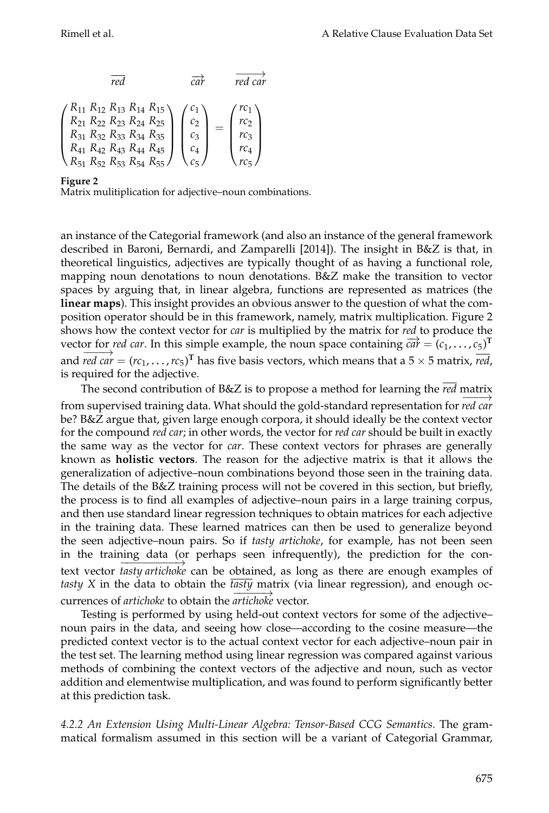| red                                                                                                                                                                                                                            | $\overrightarrow{onv}$ | red car         |
|--------------------------------------------------------------------------------------------------------------------------------------------------------------------------------------------------------------------------------|------------------------|-----------------|
| $(K_{11} K_{12} K_{13} R_{14} R_{15})$<br>$R_{21} \ R_{22} \ R_{23} \ R_{24} \ R_{25}$<br>$R_{31} \ R_{32} \ R_{33} \ R_{34} \ R_{35}$<br>$R_{41}$ $R_{42}$ $R_{43}$ $R_{44}$ $R_{45}$<br>$R_{51} R_{52} R_{53} R_{54} R_{55}$ |                        | rc <sub>2</sub> |

### **Figure 2**

Matrix mulitiplication for adjective–noun combinations.

an instance of the Categorial framework (and also an instance of the general framework described in Baroni, Bernardi, and Zamparelli [2014]). The insight in B&Z is that, in theoretical linguistics, adjectives are typically thought of as having a functional role, mapping noun denotations to noun denotations. B&Z make the transition to vector spaces by arguing that, in linear algebra, functions are represented as matrices (the **linear maps**). This insight provides an obvious answer to the question of what the composition operator should be in this framework, namely, matrix multiplication. Figure 2 shows how the context vector for *car* is multiplied by the matrix for *red* to produce the vector for *red car*. In this simple example, the noun space containing  $\overline{ca}r = (c_1, \ldots, c_5)^T$ and  $\vec{red} \cdot \vec{car} = (rc_1, \ldots, rc_5)^T$  has five basis vectors, which means that a  $5 \times 5$  matrix,  $\vec{red}$ , is required for the adjective.

The second contribution of B&Z is to propose a method for learning the *red* matrix From supervised training data. What should the gold-standard representation for *red car*<br>*From supervised training data*. What should the gold-standard representation for *red car* be? B&Z argue that, given large enough corpora, it should ideally be the context vector for the compound *red car*; in other words, the vector for *red car* should be built in exactly the same way as the vector for *car*. These context vectors for phrases are generally known as **holistic vectors**. The reason for the adjective matrix is that it allows the generalization of adjective–noun combinations beyond those seen in the training data. The details of the B&Z training process will not be covered in this section, but briefly, the process is to find all examples of adjective–noun pairs in a large training corpus, and then use standard linear regression techniques to obtain matrices for each adjective in the training data. These learned matrices can then be used to generalize beyond the seen adjective–noun pairs. So if *tasty artichoke*, for example, has not been seen in the training data (or perhaps seen infrequently), the prediction for the con-The transmitted and the person article continuously the prediction for the contract vector *tasty artichoke* can be obtained, as long as there are enough examples of *tasty X* in the data to obtain the *tasty* matrix (via linear regression), and enough occurrences of *artichoke* to obtain the −−−−−→ *artichoke* vector.

Testing is performed by using held-out context vectors for some of the adjective– noun pairs in the data, and seeing how close—according to the cosine measure—the predicted context vector is to the actual context vector for each adjective–noun pair in the test set. The learning method using linear regression was compared against various methods of combining the context vectors of the adjective and noun, such as vector addition and elementwise multiplication, and was found to perform significantly better at this prediction task.

*4.2.2 An Extension Using Multi-Linear Algebra: Tensor-Based CCG Semantics.* The grammatical formalism assumed in this section will be a variant of Categorial Grammar,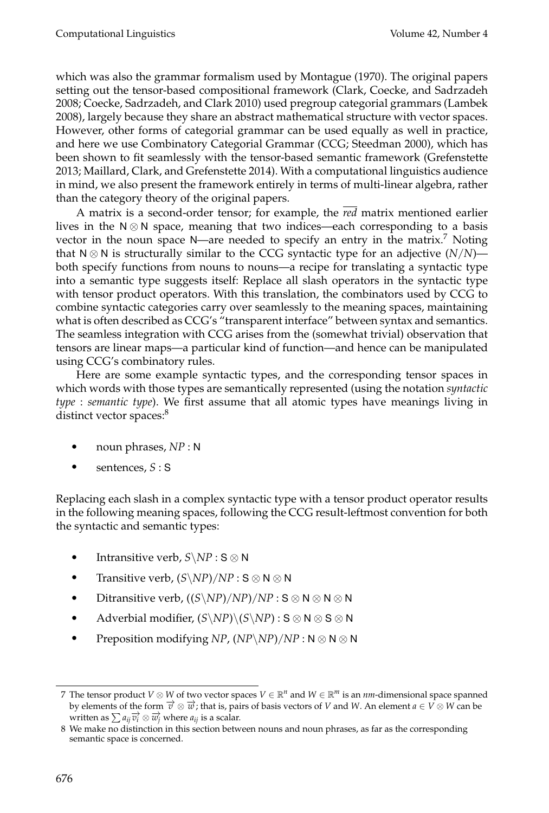which was also the grammar formalism used by Montague (1970). The original papers setting out the tensor-based compositional framework (Clark, Coecke, and Sadrzadeh 2008; Coecke, Sadrzadeh, and Clark 2010) used pregroup categorial grammars (Lambek 2008), largely because they share an abstract mathematical structure with vector spaces. However, other forms of categorial grammar can be used equally as well in practice, and here we use Combinatory Categorial Grammar (CCG; Steedman 2000), which has been shown to fit seamlessly with the tensor-based semantic framework (Grefenstette 2013; Maillard, Clark, and Grefenstette 2014). With a computational linguistics audience in mind, we also present the framework entirely in terms of multi-linear algebra, rather than the category theory of the original papers.

A matrix is a second-order tensor; for example, the *red* matrix mentioned earlier lives in the  $N \otimes N$  space, meaning that two indices—each corresponding to a basis vector in the noun space  $N$ —are needed to specify an entry in the matrix.<sup>7</sup> Noting that N  $\otimes$  N is structurally similar to the CCG syntactic type for an adjective  $(N/N)$  both specify functions from nouns to nouns—a recipe for translating a syntactic type into a semantic type suggests itself: Replace all slash operators in the syntactic type with tensor product operators. With this translation, the combinators used by CCG to combine syntactic categories carry over seamlessly to the meaning spaces, maintaining what is often described as CCG's "transparent interface" between syntax and semantics. The seamless integration with CCG arises from the (somewhat trivial) observation that tensors are linear maps—a particular kind of function—and hence can be manipulated using CCG's combinatory rules.

Here are some example syntactic types, and the corresponding tensor spaces in which words with those types are semantically represented (using the notation *syntactic type* : *semantic type*). We first assume that all atomic types have meanings living in distinct vector spaces:<sup>8</sup>

- noun phrases,  $NP : N$
- r sentences, *S* : S

Replacing each slash in a complex syntactic type with a tensor product operator results in the following meaning spaces, following the CCG result-leftmost convention for both the syntactic and semantic types:

- r Intransitive verb,  $S\backslash NP$  : S  $\otimes$  N
- Transitive verb,  $(S\N P)/NP$ : S  $\otimes N \otimes N$
- Ditransitive verb,  $((S\N P)/N P)/N P$ : S ⊗ N ⊗ N ⊗ N
- Adverbial modifier,  $(S\NP)\(S\NP) : S \otimes N \otimes S \otimes N$
- Preposition modifying *NP*,  $(NP\backslash NP)/NP : N \otimes N \otimes N$

<sup>7</sup> The tensor product *V*  $\otimes$  *W* of two vector spaces *V*  $\in \mathbb{R}^n$  and *W*  $\in \mathbb{R}^m$  is an *nm*-dimensional space spanned by elements of the form  $\vec{v} \otimes \vec{w}$ ; that is, pairs of basis vectors of *V* and *W*. An element  $a \in V \otimes W$  can be written as  $\sum a_{ij} \overrightarrow{v_i} \otimes \overrightarrow{w_j}$  where  $a_{ij}$  is a scalar.

<sup>8</sup> We make no distinction in this section between nouns and noun phrases, as far as the corresponding semantic space is concerned.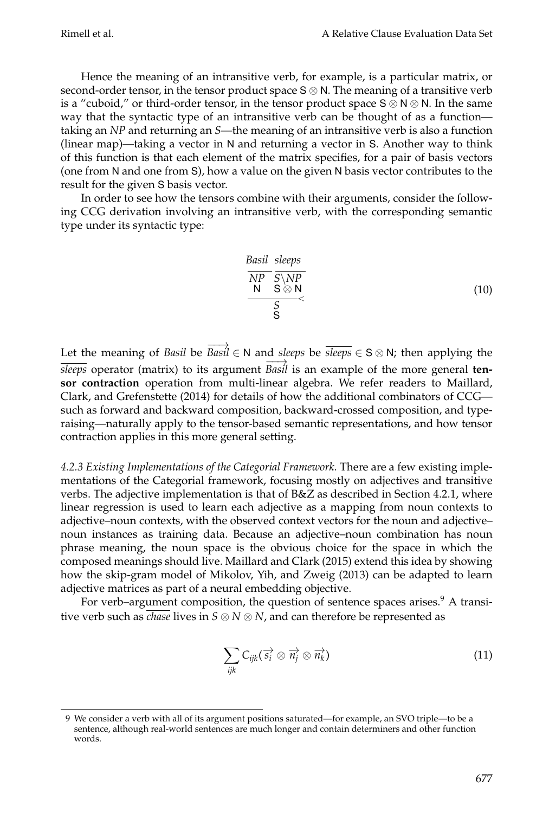Hence the meaning of an intransitive verb, for example, is a particular matrix, or second-order tensor, in the tensor product space  $S \otimes N$ . The meaning of a transitive verb is a "cuboid," or third-order tensor, in the tensor product space  $S \otimes N \otimes N$ . In the same way that the syntactic type of an intransitive verb can be thought of as a function taking an *NP* and returning an *S*—the meaning of an intransitive verb is also a function (linear map)—taking a vector in N and returning a vector in S. Another way to think of this function is that each element of the matrix specifies, for a pair of basis vectors (one from N and one from S), how a value on the given N basis vector contributes to the result for the given S basis vector.

In order to see how the tensors combine with their arguments, consider the following CCG derivation involving an intransitive verb, with the corresponding semantic type under its syntactic type:

Basil

\n
$$
\frac{\text{NPP}}{\text{NP}} \cdot \frac{\text{S} \setminus \text{NP}}{\text{S} \otimes \text{N}}
$$
\n
$$
\frac{\text{S}}{\text{S}}
$$
\n(10)

Let the meaning of *Basil* be  $\overrightarrow{Basil} \in N$  and *sleeps* be  $\overrightarrow{sleeps} \in S \otimes N$ ; then applying the <del>side</del> the meaning of *shen* co *shen* cut and *supple so energy* co *Supplement* appropriate the sleeps operator (matrix) to its argument *Basil* is an example of the more general **tensor contraction** operation from multi-linear algebra. We refer readers to Maillard, Clark, and Grefenstette (2014) for details of how the additional combinators of CCG such as forward and backward composition, backward-crossed composition, and typeraising—naturally apply to the tensor-based semantic representations, and how tensor contraction applies in this more general setting.

*4.2.3 Existing Implementations of the Categorial Framework.* There are a few existing implementations of the Categorial framework, focusing mostly on adjectives and transitive verbs. The adjective implementation is that of B&Z as described in Section 4.2.1, where linear regression is used to learn each adjective as a mapping from noun contexts to adjective–noun contexts, with the observed context vectors for the noun and adjective– noun instances as training data. Because an adjective–noun combination has noun phrase meaning, the noun space is the obvious choice for the space in which the composed meanings should live. Maillard and Clark (2015) extend this idea by showing how the skip-gram model of Mikolov, Yih, and Zweig (2013) can be adapted to learn adjective matrices as part of a neural embedding objective.

For verb–argument composition, the question of sentence spaces arises. $9$  A transitive verb such as *chase* lives in *S* ⊗ *N* ⊗ *N*, and can therefore be represented as

$$
\sum_{ijk} C_{ijk} (\overrightarrow{s_i} \otimes \overrightarrow{n_j} \otimes \overrightarrow{n_k})
$$
 (11)

<sup>9</sup> We consider a verb with all of its argument positions saturated—for example, an SVO triple—to be a sentence, although real-world sentences are much longer and contain determiners and other function words.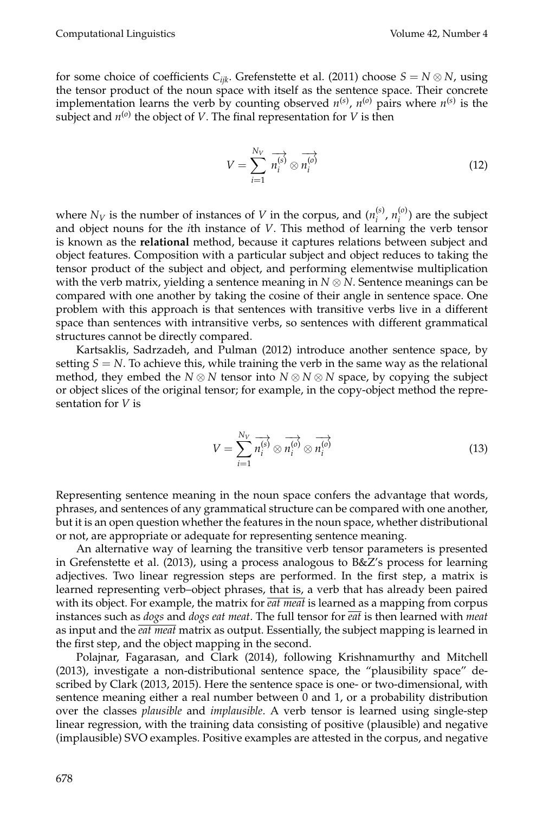for some choice of coefficients  $C_{ijk}$ . Grefenstette et al. (2011) choose  $S = N \otimes N$ , using the tensor product of the noun space with itself as the sentence space. Their concrete implementation learns the verb by counting observed  $n^{(s)}$ ,  $n^{(o)}$  pairs where  $n^{(s)}$  is the subject and  $n^{(o)}$  the object of *V*. The final representation for *V* is then

$$
V = \sum_{i=1}^{N_V} \overrightarrow{n_i^{(s)}} \otimes \overrightarrow{n_i^{(o)}}
$$
 (12)

where  $N_V$  is the number of instances of  $V$  in the corpus, and  $(n_i^{(s)})$ *i* , *n* (*o*) *i* ) are the subject and object nouns for the *i*th instance of *V*. This method of learning the verb tensor is known as the **relational** method, because it captures relations between subject and object features. Composition with a particular subject and object reduces to taking the tensor product of the subject and object, and performing elementwise multiplication with the verb matrix, yielding a sentence meaning in  $N \otimes N$ . Sentence meanings can be compared with one another by taking the cosine of their angle in sentence space. One problem with this approach is that sentences with transitive verbs live in a different space than sentences with intransitive verbs, so sentences with different grammatical structures cannot be directly compared.

Kartsaklis, Sadrzadeh, and Pulman (2012) introduce another sentence space, by setting  $S = N$ . To achieve this, while training the verb in the same way as the relational method, they embed the  $N \otimes N$  tensor into  $N \otimes N \otimes N$  space, by copying the subject or object slices of the original tensor; for example, in the copy-object method the representation for *V* is

$$
V = \sum_{i=1}^{N_V} \overrightarrow{n_i^{(s)}} \otimes \overrightarrow{n_i^{(o)}} \otimes \overrightarrow{n_i^{(o)}}
$$
(13)

Representing sentence meaning in the noun space confers the advantage that words, phrases, and sentences of any grammatical structure can be compared with one another, but it is an open question whether the features in the noun space, whether distributional or not, are appropriate or adequate for representing sentence meaning.

An alternative way of learning the transitive verb tensor parameters is presented in Grefenstette et al. (2013), using a process analogous to B&Z's process for learning adjectives. Two linear regression steps are performed. In the first step, a matrix is learned representing verb–object phrases, that is, a verb that has already been paired with its object. For example, the matrix for *eat meat* is learned as a mapping from corpus instances such as *dogs* and *dogs eat meat*. The full tensor for *eat* is then learned with *meat* as input and the *eat meat* matrix as output. Essentially, the subject mapping is learned in the first step, and the object mapping in the second.

Polajnar, Fagarasan, and Clark (2014), following Krishnamurthy and Mitchell (2013), investigate a non-distributional sentence space, the "plausibility space" described by Clark (2013, 2015). Here the sentence space is one- or two-dimensional, with sentence meaning either a real number between 0 and 1, or a probability distribution over the classes *plausible* and *implausible*. A verb tensor is learned using single-step linear regression, with the training data consisting of positive (plausible) and negative (implausible) SVO examples. Positive examples are attested in the corpus, and negative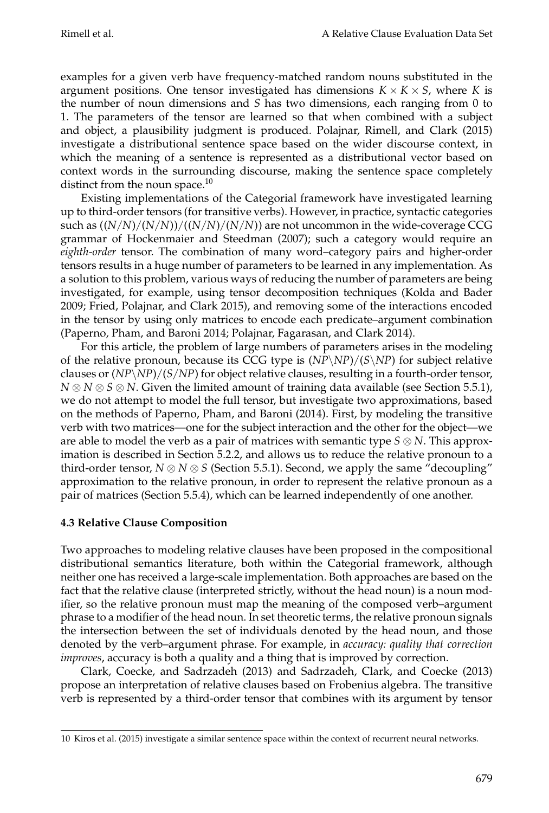examples for a given verb have frequency-matched random nouns substituted in the argument positions. One tensor investigated has dimensions  $K \times K \times S$ , where *K* is the number of noun dimensions and *S* has two dimensions, each ranging from 0 to 1. The parameters of the tensor are learned so that when combined with a subject and object, a plausibility judgment is produced. Polajnar, Rimell, and Clark (2015) investigate a distributional sentence space based on the wider discourse context, in which the meaning of a sentence is represented as a distributional vector based on context words in the surrounding discourse, making the sentence space completely distinct from the noun space. $10$ 

Existing implementations of the Categorial framework have investigated learning up to third-order tensors (for transitive verbs). However, in practice, syntactic categories such as ((*N*/*N*)/(*N*/*N*))/((*N*/*N*)/(*N*/*N*)) are not uncommon in the wide-coverage CCG grammar of Hockenmaier and Steedman (2007); such a category would require an *eighth-order* tensor. The combination of many word–category pairs and higher-order tensors results in a huge number of parameters to be learned in any implementation. As a solution to this problem, various ways of reducing the number of parameters are being investigated, for example, using tensor decomposition techniques (Kolda and Bader 2009; Fried, Polajnar, and Clark 2015), and removing some of the interactions encoded in the tensor by using only matrices to encode each predicate–argument combination (Paperno, Pham, and Baroni 2014; Polajnar, Fagarasan, and Clark 2014).

For this article, the problem of large numbers of parameters arises in the modeling of the relative pronoun, because its CCG type is (*NP*\*NP*)/(*S*\*NP*) for subject relative clauses or (*NP*\*NP*)/(*S*/*NP*) for object relative clauses, resulting in a fourth-order tensor, *N* ⊗ *N* ⊗ *S* ⊗ *N*. Given the limited amount of training data available (see Section 5.5.1), we do not attempt to model the full tensor, but investigate two approximations, based on the methods of Paperno, Pham, and Baroni (2014). First, by modeling the transitive verb with two matrices—one for the subject interaction and the other for the object—we are able to model the verb as a pair of matrices with semantic type *S* ⊗ *N*. This approximation is described in Section 5.2.2, and allows us to reduce the relative pronoun to a third-order tensor,  $N \otimes N \otimes S$  (Section 5.5.1). Second, we apply the same "decoupling" approximation to the relative pronoun, in order to represent the relative pronoun as a pair of matrices (Section 5.5.4), which can be learned independently of one another.

# **4.3 Relative Clause Composition**

Two approaches to modeling relative clauses have been proposed in the compositional distributional semantics literature, both within the Categorial framework, although neither one has received a large-scale implementation. Both approaches are based on the fact that the relative clause (interpreted strictly, without the head noun) is a noun modifier, so the relative pronoun must map the meaning of the composed verb–argument phrase to a modifier of the head noun. In set theoretic terms, the relative pronoun signals the intersection between the set of individuals denoted by the head noun, and those denoted by the verb–argument phrase. For example, in *accuracy: quality that correction improves*, accuracy is both a quality and a thing that is improved by correction.

Clark, Coecke, and Sadrzadeh (2013) and Sadrzadeh, Clark, and Coecke (2013) propose an interpretation of relative clauses based on Frobenius algebra. The transitive verb is represented by a third-order tensor that combines with its argument by tensor

<sup>10</sup> Kiros et al. (2015) investigate a similar sentence space within the context of recurrent neural networks.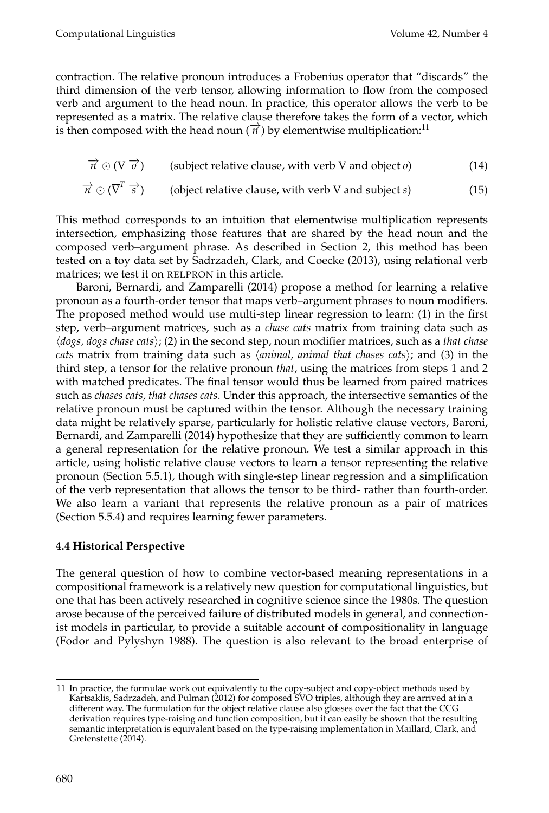contraction. The relative pronoun introduces a Frobenius operator that "discards" the third dimension of the verb tensor, allowing information to flow from the composed verb and argument to the head noun. In practice, this operator allows the verb to be represented as a matrix. The relative clause therefore takes the form of a vector, which is then composed with the head noun  $(\vec{n})$  by elementwise multiplication:<sup>11</sup>

$$
\vec{n} \odot (\nabla \vec{\sigma})
$$
 (subject relative clause, with verb V and object *o*) (14)

$$
\vec{n} \odot (\overline{V}^T \overrightarrow{s})
$$
 (object relative clause, with verb V and subject s) (15)

This method corresponds to an intuition that elementwise multiplication represents intersection, emphasizing those features that are shared by the head noun and the composed verb–argument phrase. As described in Section 2, this method has been tested on a toy data set by Sadrzadeh, Clark, and Coecke (2013), using relational verb matrices; we test it on RELPRON in this article.

Baroni, Bernardi, and Zamparelli (2014) propose a method for learning a relative pronoun as a fourth-order tensor that maps verb–argument phrases to noun modifiers. The proposed method would use multi-step linear regression to learn: (1) in the first step, verb–argument matrices, such as a *chase cats* matrix from training data such as h*dogs, dogs chase cats*i; (2) in the second step, noun modifier matrices, such as a *that chase cats* matrix from training data such as  $\langle animal, animal that^2 \rangle$ *;* and (3) in the third step, a tensor for the relative pronoun *that*, using the matrices from steps 1 and 2 with matched predicates. The final tensor would thus be learned from paired matrices such as *chases cats, that chases cats*. Under this approach, the intersective semantics of the relative pronoun must be captured within the tensor. Although the necessary training data might be relatively sparse, particularly for holistic relative clause vectors, Baroni, Bernardi, and Zamparelli (2014) hypothesize that they are sufficiently common to learn a general representation for the relative pronoun. We test a similar approach in this article, using holistic relative clause vectors to learn a tensor representing the relative pronoun (Section 5.5.1), though with single-step linear regression and a simplification of the verb representation that allows the tensor to be third- rather than fourth-order. We also learn a variant that represents the relative pronoun as a pair of matrices (Section 5.5.4) and requires learning fewer parameters.

### **4.4 Historical Perspective**

The general question of how to combine vector-based meaning representations in a compositional framework is a relatively new question for computational linguistics, but one that has been actively researched in cognitive science since the 1980s. The question arose because of the perceived failure of distributed models in general, and connectionist models in particular, to provide a suitable account of compositionality in language (Fodor and Pylyshyn 1988). The question is also relevant to the broad enterprise of

<sup>11</sup> In practice, the formulae work out equivalently to the copy-subject and copy-object methods used by Kartsaklis, Sadrzadeh, and Pulman (2012) for composed SVO triples, although they are arrived at in a different way. The formulation for the object relative clause also glosses over the fact that the CCG derivation requires type-raising and function composition, but it can easily be shown that the resulting semantic interpretation is equivalent based on the type-raising implementation in Maillard, Clark, and Grefenstette (2014).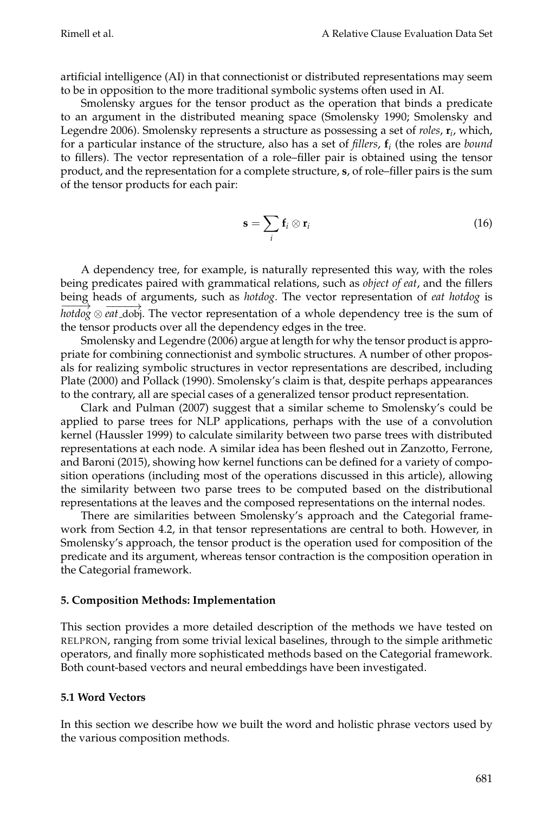artificial intelligence (AI) in that connectionist or distributed representations may seem to be in opposition to the more traditional symbolic systems often used in AI.

Smolensky argues for the tensor product as the operation that binds a predicate to an argument in the distributed meaning space (Smolensky 1990; Smolensky and Legendre 2006). Smolensky represents a structure as possessing a set of *roles*, **r***<sup>i</sup>* , which, for a particular instance of the structure, also has a set of *fillers*, **f***<sup>i</sup>* (the roles are *bound* to fillers). The vector representation of a role–filler pair is obtained using the tensor product, and the representation for a complete structure, **s**, of role–filler pairs is the sum of the tensor products for each pair:

$$
\mathbf{s} = \sum_i \mathbf{f}_i \otimes \mathbf{r}_i \tag{16}
$$

A dependency tree, for example, is naturally represented this way, with the roles being predicates paired with grammatical relations, such as *object of eat*, and the fillers being heads of arguments, such as *hotdog*. The vector representation of *eat hotdog* is <del>o carge nodes of</del> *negativency* start as *nemal*. The vector representation of a whole dependency tree is the sum of hotdog ⊗ *eat* dobj. The vector representation of a whole dependency tree is the sum of the tensor products over all the dependency edges in the tree.

Smolensky and Legendre (2006) argue at length for why the tensor product is appropriate for combining connectionist and symbolic structures. A number of other proposals for realizing symbolic structures in vector representations are described, including Plate (2000) and Pollack (1990). Smolensky's claim is that, despite perhaps appearances to the contrary, all are special cases of a generalized tensor product representation.

Clark and Pulman (2007) suggest that a similar scheme to Smolensky's could be applied to parse trees for NLP applications, perhaps with the use of a convolution kernel (Haussler 1999) to calculate similarity between two parse trees with distributed representations at each node. A similar idea has been fleshed out in Zanzotto, Ferrone, and Baroni (2015), showing how kernel functions can be defined for a variety of composition operations (including most of the operations discussed in this article), allowing the similarity between two parse trees to be computed based on the distributional representations at the leaves and the composed representations on the internal nodes.

There are similarities between Smolensky's approach and the Categorial framework from Section 4.2, in that tensor representations are central to both. However, in Smolensky's approach, the tensor product is the operation used for composition of the predicate and its argument, whereas tensor contraction is the composition operation in the Categorial framework.

#### **5. Composition Methods: Implementation**

This section provides a more detailed description of the methods we have tested on RELPRON, ranging from some trivial lexical baselines, through to the simple arithmetic operators, and finally more sophisticated methods based on the Categorial framework. Both count-based vectors and neural embeddings have been investigated.

#### **5.1 Word Vectors**

In this section we describe how we built the word and holistic phrase vectors used by the various composition methods.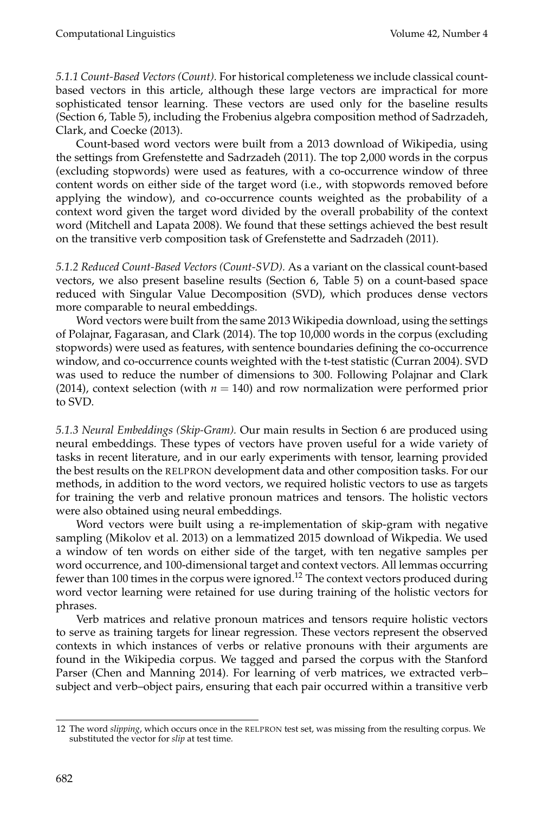*5.1.1 Count-Based Vectors (Count).* For historical completeness we include classical countbased vectors in this article, although these large vectors are impractical for more sophisticated tensor learning. These vectors are used only for the baseline results (Section 6, Table 5), including the Frobenius algebra composition method of Sadrzadeh, Clark, and Coecke (2013).

Count-based word vectors were built from a 2013 download of Wikipedia, using the settings from Grefenstette and Sadrzadeh (2011). The top 2,000 words in the corpus (excluding stopwords) were used as features, with a co-occurrence window of three content words on either side of the target word (i.e., with stopwords removed before applying the window), and co-occurrence counts weighted as the probability of a context word given the target word divided by the overall probability of the context word (Mitchell and Lapata 2008). We found that these settings achieved the best result on the transitive verb composition task of Grefenstette and Sadrzadeh (2011).

*5.1.2 Reduced Count-Based Vectors (Count-SVD).* As a variant on the classical count-based vectors, we also present baseline results (Section 6, Table 5) on a count-based space reduced with Singular Value Decomposition (SVD), which produces dense vectors more comparable to neural embeddings.

Word vectors were built from the same 2013 Wikipedia download, using the settings of Polajnar, Fagarasan, and Clark (2014). The top 10,000 words in the corpus (excluding stopwords) were used as features, with sentence boundaries defining the co-occurrence window, and co-occurrence counts weighted with the t-test statistic (Curran 2004). SVD was used to reduce the number of dimensions to 300. Following Polajnar and Clark (2014), context selection (with  $n = 140$ ) and row normalization were performed prior to SVD.

*5.1.3 Neural Embeddings (Skip-Gram).* Our main results in Section 6 are produced using neural embeddings. These types of vectors have proven useful for a wide variety of tasks in recent literature, and in our early experiments with tensor, learning provided the best results on the RELPRON development data and other composition tasks. For our methods, in addition to the word vectors, we required holistic vectors to use as targets for training the verb and relative pronoun matrices and tensors. The holistic vectors were also obtained using neural embeddings.

Word vectors were built using a re-implementation of skip-gram with negative sampling (Mikolov et al. 2013) on a lemmatized 2015 download of Wikpedia. We used a window of ten words on either side of the target, with ten negative samples per word occurrence, and 100-dimensional target and context vectors. All lemmas occurring fewer than 100 times in the corpus were ignored.<sup>12</sup> The context vectors produced during word vector learning were retained for use during training of the holistic vectors for phrases.

Verb matrices and relative pronoun matrices and tensors require holistic vectors to serve as training targets for linear regression. These vectors represent the observed contexts in which instances of verbs or relative pronouns with their arguments are found in the Wikipedia corpus. We tagged and parsed the corpus with the Stanford Parser (Chen and Manning 2014). For learning of verb matrices, we extracted verb– subject and verb–object pairs, ensuring that each pair occurred within a transitive verb

<sup>12</sup> The word *slipping*, which occurs once in the RELPRON test set, was missing from the resulting corpus. We substituted the vector for *slip* at test time.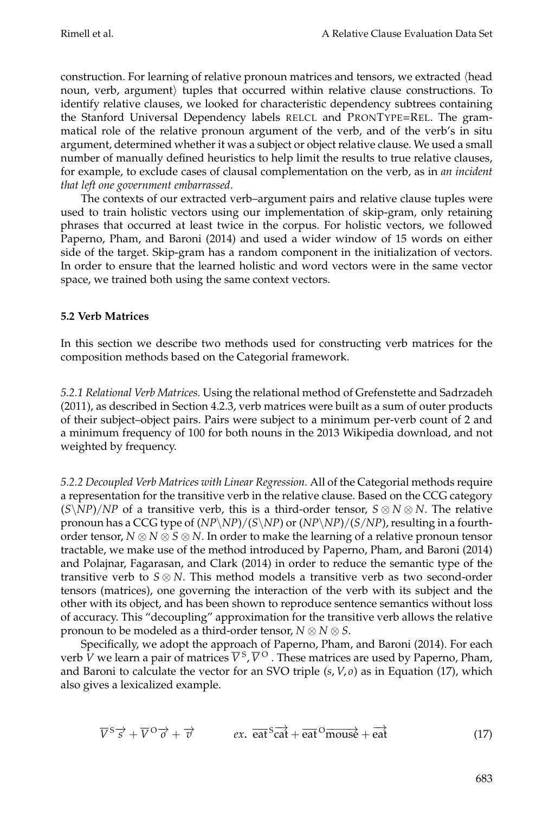construction. For learning of relative pronoun matrices and tensors, we extracted (head noun, verb, argument $\rangle$  tuples that occurred within relative clause constructions. To identify relative clauses, we looked for characteristic dependency subtrees containing the Stanford Universal Dependency labels RELCL and PRONTYPE=REL. The grammatical role of the relative pronoun argument of the verb, and of the verb's in situ argument, determined whether it was a subject or object relative clause. We used a small number of manually defined heuristics to help limit the results to true relative clauses, for example, to exclude cases of clausal complementation on the verb, as in *an incident that left one government embarrassed*.

The contexts of our extracted verb–argument pairs and relative clause tuples were used to train holistic vectors using our implementation of skip-gram, only retaining phrases that occurred at least twice in the corpus. For holistic vectors, we followed Paperno, Pham, and Baroni (2014) and used a wider window of 15 words on either side of the target. Skip-gram has a random component in the initialization of vectors. In order to ensure that the learned holistic and word vectors were in the same vector space, we trained both using the same context vectors.

# **5.2 Verb Matrices**

In this section we describe two methods used for constructing verb matrices for the composition methods based on the Categorial framework.

*5.2.1 Relational Verb Matrices.* Using the relational method of Grefenstette and Sadrzadeh (2011), as described in Section 4.2.3, verb matrices were built as a sum of outer products of their subject–object pairs. Pairs were subject to a minimum per-verb count of 2 and a minimum frequency of 100 for both nouns in the 2013 Wikipedia download, and not weighted by frequency.

*5.2.2 Decoupled Verb Matrices with Linear Regression.* All of the Categorial methods require a representation for the transitive verb in the relative clause. Based on the CCG category  $(S\NP)/NP$  of a transitive verb, this is a third-order tensor,  $S \otimes N \otimes N$ . The relative pronoun has a CCG type of (*NP*\*NP*)/(*S*\*NP*) or (*NP*\*NP*)/(*S*/*NP*), resulting in a fourthorder tensor, *N* ⊗ *N* ⊗ *S* ⊗ *N*. In order to make the learning of a relative pronoun tensor tractable, we make use of the method introduced by Paperno, Pham, and Baroni (2014) and Polajnar, Fagarasan, and Clark (2014) in order to reduce the semantic type of the transitive verb to  $S \otimes N$ . This method models a transitive verb as two second-order tensors (matrices), one governing the interaction of the verb with its subject and the other with its object, and has been shown to reproduce sentence semantics without loss of accuracy. This "decoupling" approximation for the transitive verb allows the relative pronoun to be modeled as a third-order tensor,  $N \otimes N \otimes S$ .

Specifically, we adopt the approach of Paperno, Pham, and Baroni (2014). For each verb  $V$  we learn a pair of matrices  $\overline{V}{}^S,\overline{V}{}^O$  . These matrices are used by Paperno, Pham, and Baroni to calculate the vector for an SVO triple (*s*, *V*, *o*) as in Equation (17), which also gives a lexicalized example.

$$
\overrightarrow{V}^{S} \overrightarrow{s} + \overrightarrow{V}^{O} \overrightarrow{\sigma} + \overrightarrow{\tau} \qquad ex. \overrightarrow{eat}^{S} \overrightarrow{cat} + \overrightarrow{eat}^{O} \overrightarrow{mouse} + \overrightarrow{eat} \qquad (17)
$$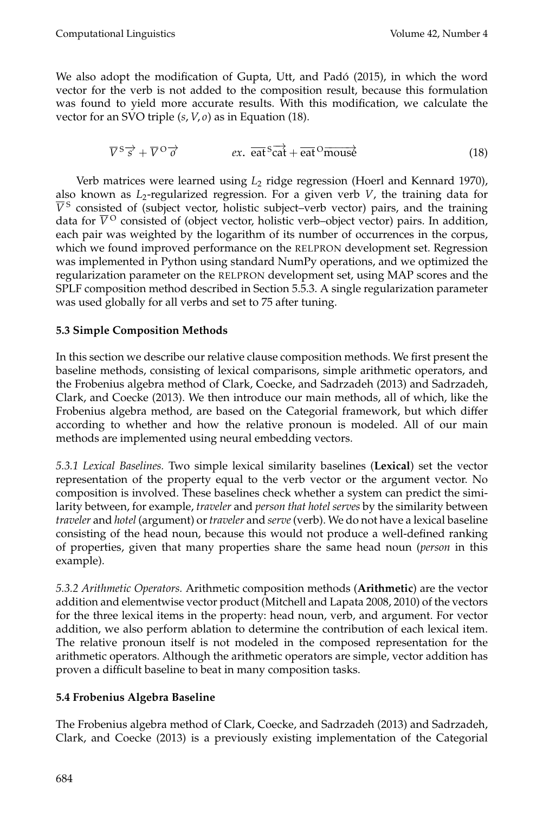We also adopt the modification of Gupta, Utt, and Padó (2015), in which the word vector for the verb is not added to the composition result, because this formulation was found to yield more accurate results. With this modification, we calculate the vector for an SVO triple (*s*, *V*, *o*) as in Equation (18).

$$
\overrightarrow{V}^{S} \overrightarrow{s} + \overrightarrow{V}^{O} \overrightarrow{\sigma}
$$
 ex.  $\overrightarrow{eat}^{S} \overrightarrow{cat} + \overrightarrow{eat}^{O} \overrightarrow{mouse}$  (18)

Verb matrices were learned using *L*<sup>2</sup> ridge regression (Hoerl and Kennard 1970), also known as *L*<sub>2</sub>-regularized regression. For a given verb *V*, the training data for  $\overline{V}^S$  consisted of (subject vector, holistic subject–verb vector) pairs, and the training data for  $\overline{V}{}^{\rm O}$  consisted of (object vector, holistic verb–object vector) pairs. In addition, each pair was weighted by the logarithm of its number of occurrences in the corpus, which we found improved performance on the RELPRON development set. Regression was implemented in Python using standard NumPy operations, and we optimized the regularization parameter on the RELPRON development set, using MAP scores and the SPLF composition method described in Section 5.5.3. A single regularization parameter was used globally for all verbs and set to 75 after tuning.

### **5.3 Simple Composition Methods**

In this section we describe our relative clause composition methods. We first present the baseline methods, consisting of lexical comparisons, simple arithmetic operators, and the Frobenius algebra method of Clark, Coecke, and Sadrzadeh (2013) and Sadrzadeh, Clark, and Coecke (2013). We then introduce our main methods, all of which, like the Frobenius algebra method, are based on the Categorial framework, but which differ according to whether and how the relative pronoun is modeled. All of our main methods are implemented using neural embedding vectors.

*5.3.1 Lexical Baselines.* Two simple lexical similarity baselines (**Lexical**) set the vector representation of the property equal to the verb vector or the argument vector. No composition is involved. These baselines check whether a system can predict the similarity between, for example, *traveler* and *person that hotel serves* by the similarity between *traveler* and *hotel* (argument) or*traveler* and *serve* (verb). We do not have a lexical baseline consisting of the head noun, because this would not produce a well-defined ranking of properties, given that many properties share the same head noun (*person* in this example).

*5.3.2 Arithmetic Operators.* Arithmetic composition methods (**Arithmetic**) are the vector addition and elementwise vector product (Mitchell and Lapata 2008, 2010) of the vectors for the three lexical items in the property: head noun, verb, and argument. For vector addition, we also perform ablation to determine the contribution of each lexical item. The relative pronoun itself is not modeled in the composed representation for the arithmetic operators. Although the arithmetic operators are simple, vector addition has proven a difficult baseline to beat in many composition tasks.

# **5.4 Frobenius Algebra Baseline**

The Frobenius algebra method of Clark, Coecke, and Sadrzadeh (2013) and Sadrzadeh, Clark, and Coecke (2013) is a previously existing implementation of the Categorial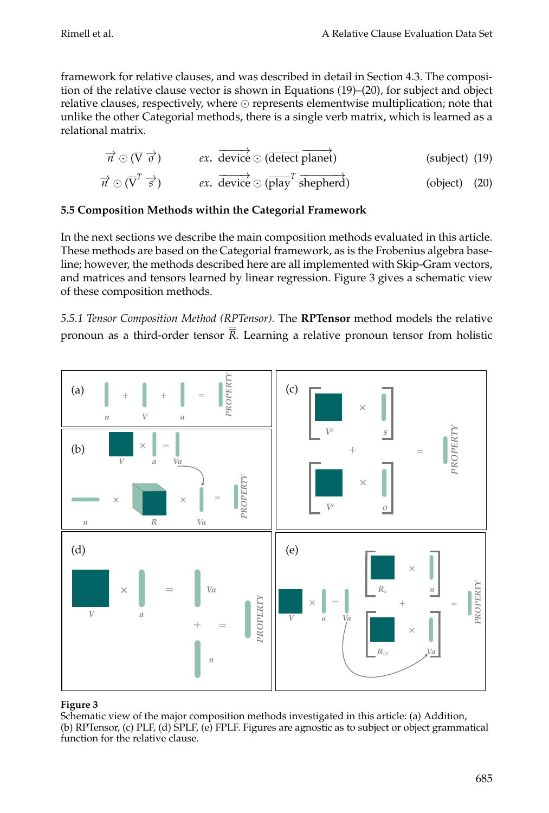framework for relative clauses, and was described in detail in Section 4.3. The composition of the relative clause vector is shown in Equations (19)–(20), for subject and object relative clauses, respectively, where  $\odot$  represents elementwise multiplication; note that unlike the other Categorial methods, there is a single verb matrix, which is learned as a relational matrix.

$$
\overrightarrow{n} \odot (\overrightarrow{V} \overrightarrow{\sigma}) \qquad ex. \overrightarrow{\text{device}} \odot (\overrightarrow{\text{detect}} \overrightarrow{\text{planet}}) \qquad \qquad \text{(subject)} \tag{19}
$$

$$
\overrightarrow{n} \odot (\overline{V}^T \overrightarrow{s}) \qquad ex. \overrightarrow{device} \odot (\overrightarrow{play}^T \overrightarrow{shepherd}) \qquad (object) \quad (20)
$$

# **5.5 Composition Methods within the Categorial Framework**

In the next sections we describe the main composition methods evaluated in this article. These methods are based on the Categorial framework, as is the Frobenius algebra baseline; however, the methods described here are all implemented with Skip-Gram vectors, and matrices and tensors learned by linear regression. Figure 3 gives a schematic view of these composition methods.

*5.5.1 Tensor Composition Method (RPTensor).* The **RPTensor** method models the relative pronoun as a third-order tensor *R*. Learning a relative pronoun tensor from holistic



### **Figure 3**

Schematic view of the major composition methods investigated in this article: (a) Addition, (b) RPTensor, (c) PLF, (d) SPLF, (e) FPLF. Figures are agnostic as to subject or object grammatical function for the relative clause.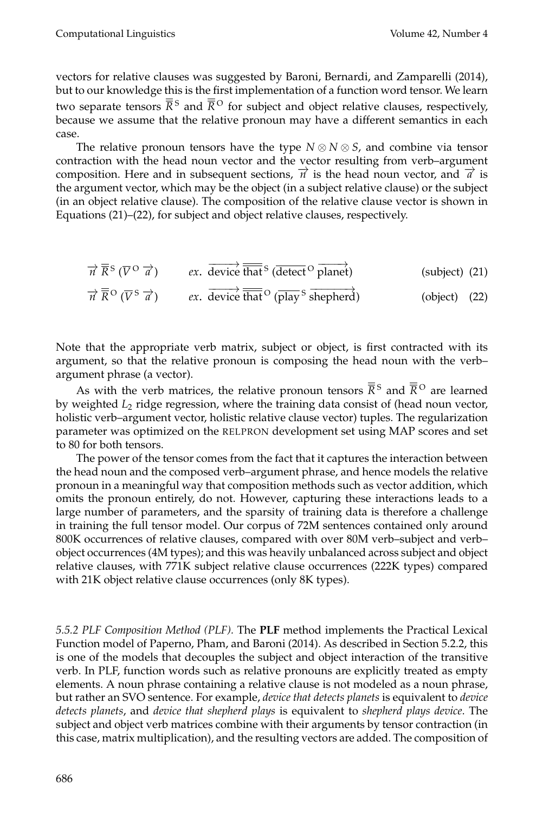vectors for relative clauses was suggested by Baroni, Bernardi, and Zamparelli (2014), but to our knowledge this is the first implementation of a function word tensor. We learn two separate tensors  $\overline{R}{}^{\text{S}}$  and  $\overline{R}{}^{\text{O}}$  for subject and object relative clauses, respectively, because we assume that the relative pronoun may have a different semantics in each case.

The relative pronoun tensors have the type  $N \otimes N \otimes S$ , and combine via tensor contraction with the head noun vector and the vector resulting from verb–argument composition. Here and in subsequent sections,  $\vec{n}$  is the head noun vector, and  $\vec{a}$  is the argument vector, which may be the object (in a subject relative clause) or the subject (in an object relative clause). The composition of the relative clause vector is shown in Equations (21)–(22), for subject and object relative clauses, respectively.

$$
\overrightarrow{n} \overrightarrow{R}^{S} (\overrightarrow{V}^{O} \overrightarrow{a}) \qquad ex. \overrightarrow{device} \overrightarrow{that}^{S} (\overrightarrow{detect}^{O} \overrightarrow{planet}) \qquad (subject) (21)
$$

$$
\overrightarrow{n} \overrightarrow{R}^{\circ} (\overrightarrow{V}^{S} \overrightarrow{a}) \qquad ex. \overrightarrow{device} \overrightarrow{that}^{\circ} (\overrightarrow{play}^{S} \overrightarrow{shepherd}) \qquad (object) (22)
$$

Note that the appropriate verb matrix, subject or object, is first contracted with its argument, so that the relative pronoun is composing the head noun with the verb– argument phrase (a vector).

As with the verb matrices, the relative pronoun tensors  $\overline{R}^S$  and  $\overline{R}^O$  are learned by weighted *L*<sup>2</sup> ridge regression, where the training data consist of (head noun vector, holistic verb–argument vector, holistic relative clause vector) tuples. The regularization parameter was optimized on the RELPRON development set using MAP scores and set to 80 for both tensors.

The power of the tensor comes from the fact that it captures the interaction between the head noun and the composed verb–argument phrase, and hence models the relative pronoun in a meaningful way that composition methods such as vector addition, which omits the pronoun entirely, do not. However, capturing these interactions leads to a large number of parameters, and the sparsity of training data is therefore a challenge in training the full tensor model. Our corpus of 72M sentences contained only around 800K occurrences of relative clauses, compared with over 80M verb–subject and verb– object occurrences (4M types); and this was heavily unbalanced across subject and object relative clauses, with 771K subject relative clause occurrences (222K types) compared with 21K object relative clause occurrences (only 8K types).

*5.5.2 PLF Composition Method (PLF).* The **PLF** method implements the Practical Lexical Function model of Paperno, Pham, and Baroni (2014). As described in Section 5.2.2, this is one of the models that decouples the subject and object interaction of the transitive verb. In PLF, function words such as relative pronouns are explicitly treated as empty elements. A noun phrase containing a relative clause is not modeled as a noun phrase, but rather an SVO sentence. For example, *device that detects planets* is equivalent to *device detects planets*, and *device that shepherd plays* is equivalent to *shepherd plays device*. The subject and object verb matrices combine with their arguments by tensor contraction (in this case, matrix multiplication), and the resulting vectors are added. The composition of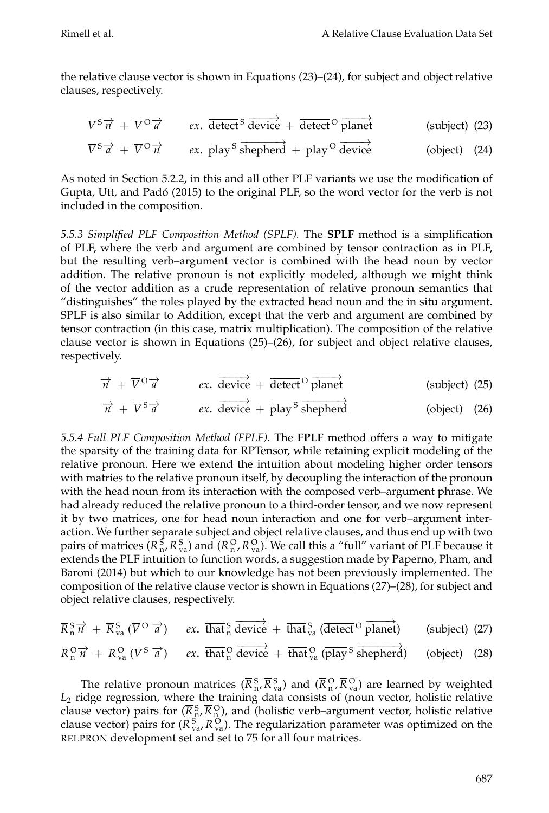the relative clause vector is shown in Equations  $(23)$ – $(24)$ , for subject and object relative clauses, respectively.

$$
\overrightarrow{V}^{S}\overrightarrow{n} + \overrightarrow{V}^{O}\overrightarrow{a}
$$
 ex.  $\overrightarrow{detect}^{S}$   $\overrightarrow{device} + \overrightarrow{detect}^{O}$   $\overrightarrow{planet}$  (subject) (23)

$$
\overrightarrow{V}^{S} \overrightarrow{a} + \overrightarrow{V}^{O} \overrightarrow{n}
$$
 ex.  $\overrightarrow{play}^{S} \overrightarrow{shepherd} + \overrightarrow{play}^{O} \overrightarrow{device}$  (object) (24)

As noted in Section 5.2.2, in this and all other PLF variants we use the modification of Gupta, Utt, and Padó (2015) to the original PLF, so the word vector for the verb is not included in the composition.

*5.5.3 Simplified PLF Composition Method (SPLF).* The **SPLF** method is a simplification of PLF, where the verb and argument are combined by tensor contraction as in PLF, but the resulting verb–argument vector is combined with the head noun by vector addition. The relative pronoun is not explicitly modeled, although we might think of the vector addition as a crude representation of relative pronoun semantics that "distinguishes" the roles played by the extracted head noun and the in situ argument. SPLF is also similar to Addition, except that the verb and argument are combined by tensor contraction (in this case, matrix multiplication). The composition of the relative clause vector is shown in Equations (25)–(26), for subject and object relative clauses, respectively.

$$
\overrightarrow{n} + \overrightarrow{V}^{\circ}\overrightarrow{a}
$$
 *ex.*  $\overrightarrow{device} + \overrightarrow{detect}^{\circ}\overrightarrow{planet}$  (subject) (25)

$$
\overrightarrow{n} + \overrightarrow{V}^{S} \overrightarrow{a}
$$
 *ex.*  $\overrightarrow{device} + \overrightarrow{play}^{S} \overrightarrow{shepherd}$  (object) (26)

*5.5.4 Full PLF Composition Method (FPLF).* The **FPLF** method offers a way to mitigate the sparsity of the training data for RPTensor, while retaining explicit modeling of the relative pronoun. Here we extend the intuition about modeling higher order tensors with matries to the relative pronoun itself, by decoupling the interaction of the pronoun with the head noun from its interaction with the composed verb–argument phrase. We had already reduced the relative pronoun to a third-order tensor, and we now represent it by two matrices, one for head noun interaction and one for verb–argument interaction. We further separate subject and object relative clauses, and thus end up with two pairs of matrices  $(\overline{R}^S_{n},\overline{R}^S_{va})$  and  $(\overline{R}^O_{n},\overline{R}^O_{va})$ . We call this a "full" variant of PLF because it extends the PLF intuition to function words, a suggestion made by Paperno, Pham, and Baroni (2014) but which to our knowledge has not been previously implemented. The composition of the relative clause vector is shown in Equations (27)–(28), for subject and object relative clauses, respectively.

$$
\overrightarrow{R}_{n}^{S} \overrightarrow{n} + \overrightarrow{R}_{va}^{S} (\overrightarrow{V}^{O} \overrightarrow{a}) \quad ex. \overrightarrow{that}_{n}^{S} \overrightarrow{device} + \overrightarrow{that}_{va}^{S} (\overrightarrow{detect}^{O} \overrightarrow{planet}) \quad \text{(subject)} (27)
$$

$$
\overrightarrow{R}_{n}^{\Omega} \overrightarrow{n} + \overrightarrow{R}_{va}^{\Omega} (\overrightarrow{V}^{S} \overrightarrow{a}) \quad ex. \overrightarrow{that}_{n}^{\Omega} \overrightarrow{device} + \overrightarrow{that}_{va}^{\Omega} (\overrightarrow{play}^{S} \overrightarrow{shepherd}) \quad (object) (28)
$$

The relative pronoun matrices  $(\overline{R}_{n}^{S}, \overline{R}_{va}^{S})$  and  $(\overline{R}_{n}^{O}, \overline{R}_{va}^{O})$  are learned by weighted *L*<sup>2</sup> ridge regression, where the training data consists of (noun vector, holistic relative clause vector) pairs for  $(\overline{R}_{n}^{S}, \overline{R}_{n}^{O})$ , and (holistic verb–argument vector, holistic relative clause vector) pairs for  $(\overline{R}_{\text{va}}^S, \overline{R}_{\text{va}}^O)$ . The regularization parameter was optimized on the RELPRON development set and set to 75 for all four matrices.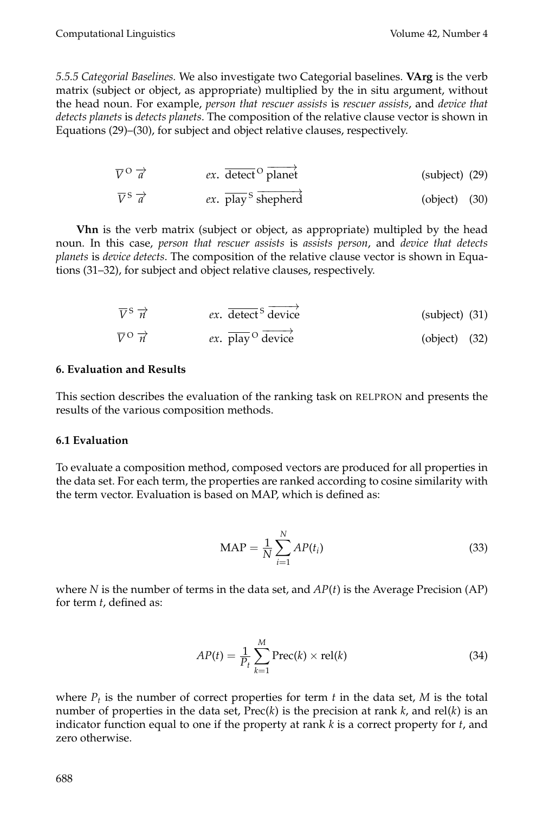$$
\overrightarrow{V}^{\text{O}} \overrightarrow{a}
$$
 *ex.*  $\overrightarrow{\text{detect}}^{\text{O}} \overrightarrow{\text{planet}}$  (subject) (29)

$$
\overrightarrow{V}^S \overrightarrow{a} \qquad ex. \overrightarrow{play}^S \overrightarrow{shepherd} \qquad (object) (30)
$$

**Vhn** is the verb matrix (subject or object, as appropriate) multipled by the head noun. In this case, *person that rescuer assists* is *assists person*, and *device that detects planets* is *device detects*. The composition of the relative clause vector is shown in Equations (31–32), for subject and object relative clauses, respectively.

$$
\overrightarrow{V}^{S} \overrightarrow{n}
$$
 *ex.*  $\overrightarrow{detect}^{S} \overrightarrow{device}$  (subject) (31)  

$$
\overrightarrow{V}^{O} \overrightarrow{n}
$$
 *ex.*  $\overrightarrow{play}^{O} \overrightarrow{device}$  (object) (32)

#### **6. Evaluation and Results**

This section describes the evaluation of the ranking task on RELPRON and presents the results of the various composition methods.

#### **6.1 Evaluation**

To evaluate a composition method, composed vectors are produced for all properties in the data set. For each term, the properties are ranked according to cosine similarity with the term vector. Evaluation is based on MAP, which is defined as:

$$
MAP = \frac{1}{N} \sum_{i=1}^{N} AP(t_i)
$$
 (33)

where *N* is the number of terms in the data set, and *AP*(*t*) is the Average Precision (AP) for term *t*, defined as:

$$
AP(t) = \frac{1}{P_t} \sum_{k=1}^{M} \text{Prec}(k) \times \text{rel}(k)
$$
\n(34)

where  $P_t$  is the number of correct properties for term  $t$  in the data set,  $M$  is the total number of properties in the data set,  $Prec(k)$  is the precision at rank  $k$ , and rel $(k)$  is an indicator function equal to one if the property at rank *k* is a correct property for *t*, and zero otherwise.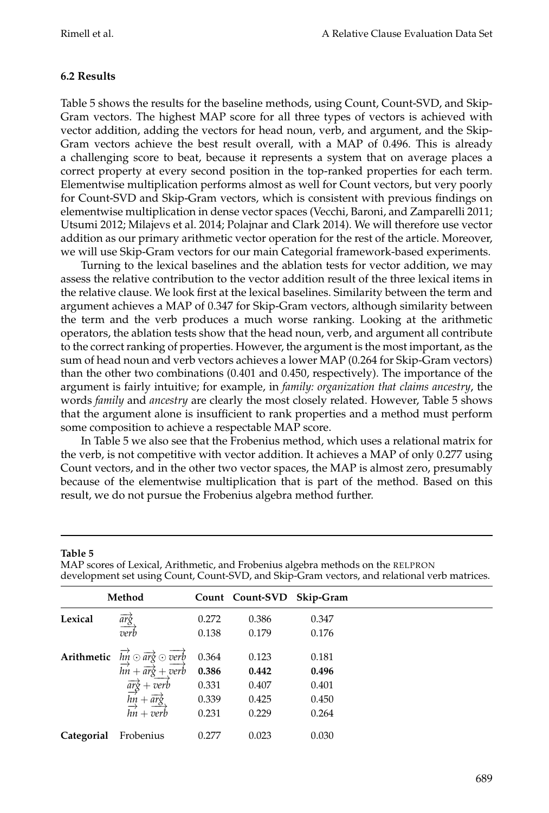# **6.2 Results**

Table 5 shows the results for the baseline methods, using Count, Count-SVD, and Skip-Gram vectors. The highest MAP score for all three types of vectors is achieved with vector addition, adding the vectors for head noun, verb, and argument, and the Skip-Gram vectors achieve the best result overall, with a MAP of 0.496. This is already a challenging score to beat, because it represents a system that on average places a correct property at every second position in the top-ranked properties for each term. Elementwise multiplication performs almost as well for Count vectors, but very poorly for Count-SVD and Skip-Gram vectors, which is consistent with previous findings on elementwise multiplication in dense vector spaces (Vecchi, Baroni, and Zamparelli 2011; Utsumi 2012; Milajevs et al. 2014; Polajnar and Clark 2014). We will therefore use vector addition as our primary arithmetic vector operation for the rest of the article. Moreover, we will use Skip-Gram vectors for our main Categorial framework-based experiments.

Turning to the lexical baselines and the ablation tests for vector addition, we may assess the relative contribution to the vector addition result of the three lexical items in the relative clause. We look first at the lexical baselines. Similarity between the term and argument achieves a MAP of 0.347 for Skip-Gram vectors, although similarity between the term and the verb produces a much worse ranking. Looking at the arithmetic operators, the ablation tests show that the head noun, verb, and argument all contribute to the correct ranking of properties. However, the argument is the most important, as the sum of head noun and verb vectors achieves a lower MAP (0.264 for Skip-Gram vectors) than the other two combinations (0.401 and 0.450, respectively). The importance of the argument is fairly intuitive; for example, in *family: organization that claims ancestry*, the words *family* and *ancestry* are clearly the most closely related. However, Table 5 shows that the argument alone is insufficient to rank properties and a method must perform some composition to achieve a respectable MAP score.

In Table 5 we also see that the Frobenius method, which uses a relational matrix for the verb, is not competitive with vector addition. It achieves a MAP of only 0.277 using Count vectors, and in the other two vector spaces, the MAP is almost zero, presumably because of the elementwise multiplication that is part of the method. Based on this result, we do not pursue the Frobenius algebra method further.

| acveiophient set asing Count, Count-5 vD, and SKIP-Grain vectors, and relational verb matrices. |                                                                                         |       |                 |           |  |  |  |  |
|-------------------------------------------------------------------------------------------------|-----------------------------------------------------------------------------------------|-------|-----------------|-----------|--|--|--|--|
|                                                                                                 | Method                                                                                  |       | Count Count-SVD | Skip-Gram |  |  |  |  |
| Lexical                                                                                         | $\overrightarrow{arg}$                                                                  | 0.272 | 0.386           | 0.347     |  |  |  |  |
|                                                                                                 | verb                                                                                    | 0.138 | 0.179           | 0.176     |  |  |  |  |
|                                                                                                 | Arithmetic $\overrightarrow{hn} \odot \overrightarrow{arg} \odot \overrightarrow{verb}$ | 0.364 | 0.123           | 0.181     |  |  |  |  |
|                                                                                                 | $\overrightarrow{hn} + \overrightarrow{arg} + \overrightarrow{verb}$                    | 0.386 | 0.442           | 0.496     |  |  |  |  |
|                                                                                                 | $\overrightarrow{arg} + verb$                                                           | 0.331 | 0.407           | 0.401     |  |  |  |  |
|                                                                                                 | $\overrightarrow{hn} + \overrightarrow{arg}$                                            | 0.339 | 0.425           | 0.450     |  |  |  |  |
|                                                                                                 | $\overrightarrow{hn} + \overrightarrow{verb}$                                           | 0.231 | 0.229           | 0.264     |  |  |  |  |
| Categorial                                                                                      | Frobenius                                                                               | 0.277 | 0.023           | 0.030     |  |  |  |  |

**Table 5**

MAP scores of Lexical, Arithmetic, and Frobenius algebra methods on the RELPRON development set using Count, Count-SVD, and Skip-Gram vectors, and relational verb matrices.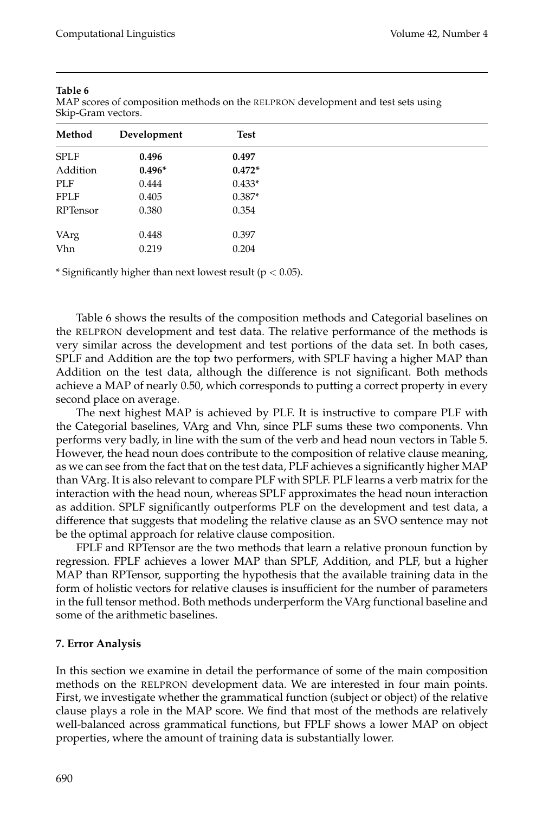|             | <b>SKIP-GIAIII VECTOIS.</b> |             |  |  |  |  |  |  |
|-------------|-----------------------------|-------------|--|--|--|--|--|--|
| Method      | Development                 | <b>Test</b> |  |  |  |  |  |  |
| <b>SPLF</b> | 0.496                       | 0.497       |  |  |  |  |  |  |
| Addition    | $0.496*$                    | $0.472*$    |  |  |  |  |  |  |
| PLF         | 0.444                       | $0.433*$    |  |  |  |  |  |  |
| <b>FPLF</b> | 0.405                       | $0.387*$    |  |  |  |  |  |  |
| RPTensor    | 0.380                       | 0.354       |  |  |  |  |  |  |
| VArg        | 0.448                       | 0.397       |  |  |  |  |  |  |
| Vhn         | 0.219                       | 0.204       |  |  |  |  |  |  |

MAP scores of composition methods on the RELPRON development and test sets using Skip-Gram vectors.

\* Significantly higher than next lowest result ( $p < 0.05$ ).

Table 6 shows the results of the composition methods and Categorial baselines on the RELPRON development and test data. The relative performance of the methods is very similar across the development and test portions of the data set. In both cases, SPLF and Addition are the top two performers, with SPLF having a higher MAP than Addition on the test data, although the difference is not significant. Both methods achieve a MAP of nearly 0.50, which corresponds to putting a correct property in every second place on average.

The next highest MAP is achieved by PLF. It is instructive to compare PLF with the Categorial baselines, VArg and Vhn, since PLF sums these two components. Vhn performs very badly, in line with the sum of the verb and head noun vectors in Table 5. However, the head noun does contribute to the composition of relative clause meaning, as we can see from the fact that on the test data, PLF achieves a significantly higher MAP than VArg. It is also relevant to compare PLF with SPLF. PLF learns a verb matrix for the interaction with the head noun, whereas SPLF approximates the head noun interaction as addition. SPLF significantly outperforms PLF on the development and test data, a difference that suggests that modeling the relative clause as an SVO sentence may not be the optimal approach for relative clause composition.

FPLF and RPTensor are the two methods that learn a relative pronoun function by regression. FPLF achieves a lower MAP than SPLF, Addition, and PLF, but a higher MAP than RPTensor, supporting the hypothesis that the available training data in the form of holistic vectors for relative clauses is insufficient for the number of parameters in the full tensor method. Both methods underperform the VArg functional baseline and some of the arithmetic baselines.

#### **7. Error Analysis**

In this section we examine in detail the performance of some of the main composition methods on the RELPRON development data. We are interested in four main points. First, we investigate whether the grammatical function (subject or object) of the relative clause plays a role in the MAP score. We find that most of the methods are relatively well-balanced across grammatical functions, but FPLF shows a lower MAP on object properties, where the amount of training data is substantially lower.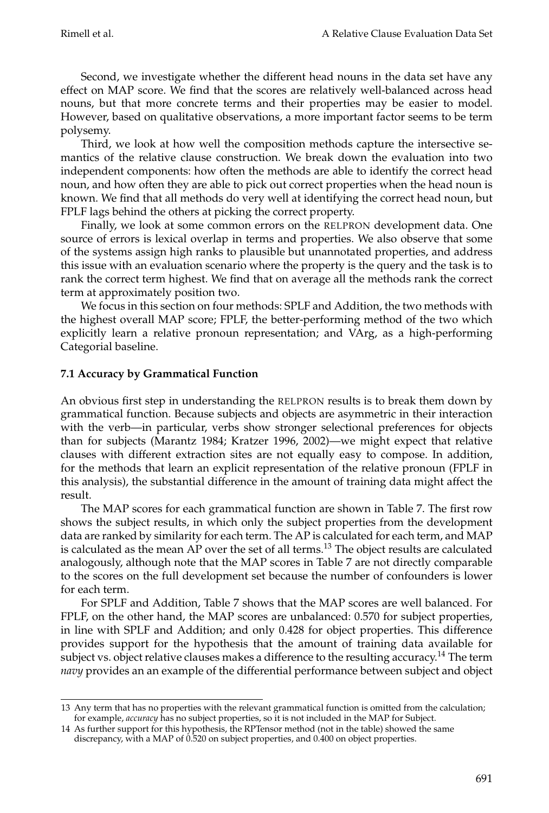Second, we investigate whether the different head nouns in the data set have any effect on MAP score. We find that the scores are relatively well-balanced across head nouns, but that more concrete terms and their properties may be easier to model. However, based on qualitative observations, a more important factor seems to be term polysemy.

Third, we look at how well the composition methods capture the intersective semantics of the relative clause construction. We break down the evaluation into two independent components: how often the methods are able to identify the correct head noun, and how often they are able to pick out correct properties when the head noun is known. We find that all methods do very well at identifying the correct head noun, but FPLF lags behind the others at picking the correct property.

Finally, we look at some common errors on the RELPRON development data. One source of errors is lexical overlap in terms and properties. We also observe that some of the systems assign high ranks to plausible but unannotated properties, and address this issue with an evaluation scenario where the property is the query and the task is to rank the correct term highest. We find that on average all the methods rank the correct term at approximately position two.

We focus in this section on four methods: SPLF and Addition, the two methods with the highest overall MAP score; FPLF, the better-performing method of the two which explicitly learn a relative pronoun representation; and VArg, as a high-performing Categorial baseline.

### **7.1 Accuracy by Grammatical Function**

An obvious first step in understanding the RELPRON results is to break them down by grammatical function. Because subjects and objects are asymmetric in their interaction with the verb—in particular, verbs show stronger selectional preferences for objects than for subjects (Marantz 1984; Kratzer 1996, 2002)—we might expect that relative clauses with different extraction sites are not equally easy to compose. In addition, for the methods that learn an explicit representation of the relative pronoun (FPLF in this analysis), the substantial difference in the amount of training data might affect the result.

The MAP scores for each grammatical function are shown in Table 7. The first row shows the subject results, in which only the subject properties from the development data are ranked by similarity for each term. The AP is calculated for each term, and MAP is calculated as the mean  $\overrightarrow{AP}$  over the set of all terms.<sup>13</sup> The object results are calculated analogously, although note that the MAP scores in Table 7 are not directly comparable to the scores on the full development set because the number of confounders is lower for each term.

For SPLF and Addition, Table 7 shows that the MAP scores are well balanced. For FPLF, on the other hand, the MAP scores are unbalanced: 0.570 for subject properties, in line with SPLF and Addition; and only 0.428 for object properties. This difference provides support for the hypothesis that the amount of training data available for subject vs. object relative clauses makes a difference to the resulting accuracy.<sup>14</sup> The term *navy* provides an an example of the differential performance between subject and object

<sup>13</sup> Any term that has no properties with the relevant grammatical function is omitted from the calculation; for example, *accuracy* has no subject properties, so it is not included in the MAP for Subject.

<sup>14</sup> As further support for this hypothesis, the RPTensor method (not in the table) showed the same discrepancy, with a MAP of 0.520 on subject properties, and 0.400 on object properties.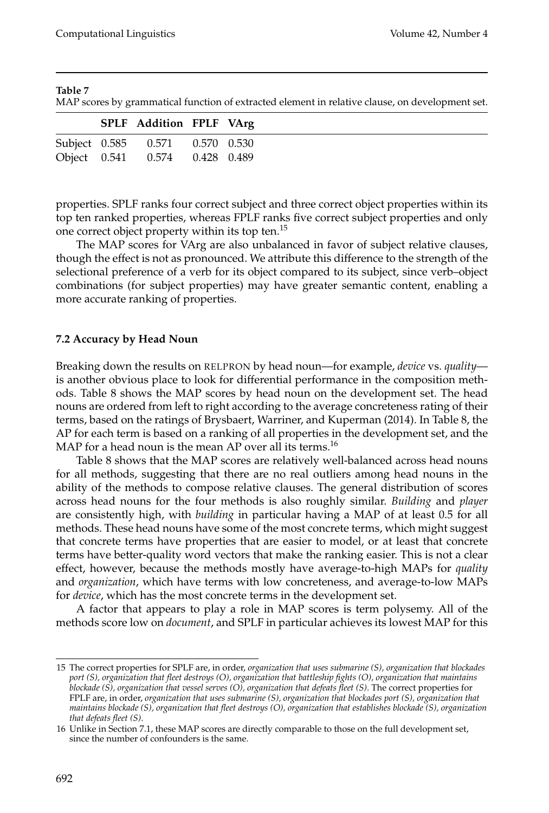MAP scores by grammatical function of extracted element in relative clause, on development set.

|  | SPLF Addition FPLF VArg         |  |  |
|--|---------------------------------|--|--|
|  | Subject 0.585 0.571 0.570 0.530 |  |  |
|  | Object 0.541 0.574 0.428 0.489  |  |  |

properties. SPLF ranks four correct subject and three correct object properties within its top ten ranked properties, whereas FPLF ranks five correct subject properties and only one correct object property within its top ten.<sup>15</sup>

The MAP scores for VArg are also unbalanced in favor of subject relative clauses, though the effect is not as pronounced. We attribute this difference to the strength of the selectional preference of a verb for its object compared to its subject, since verb–object combinations (for subject properties) may have greater semantic content, enabling a more accurate ranking of properties.

#### **7.2 Accuracy by Head Noun**

Breaking down the results on RELPRON by head noun—for example, *device* vs. *quality* is another obvious place to look for differential performance in the composition methods. Table 8 shows the MAP scores by head noun on the development set. The head nouns are ordered from left to right according to the average concreteness rating of their terms, based on the ratings of Brysbaert, Warriner, and Kuperman (2014). In Table 8, the AP for each term is based on a ranking of all properties in the development set, and the MAP for a head noun is the mean AP over all its terms.<sup>16</sup>

Table 8 shows that the MAP scores are relatively well-balanced across head nouns for all methods, suggesting that there are no real outliers among head nouns in the ability of the methods to compose relative clauses. The general distribution of scores across head nouns for the four methods is also roughly similar. *Building* and *player* are consistently high, with *building* in particular having a MAP of at least 0.5 for all methods. These head nouns have some of the most concrete terms, which might suggest that concrete terms have properties that are easier to model, or at least that concrete terms have better-quality word vectors that make the ranking easier. This is not a clear effect, however, because the methods mostly have average-to-high MAPs for *quality* and *organization*, which have terms with low concreteness, and average-to-low MAPs for *device*, which has the most concrete terms in the development set.

A factor that appears to play a role in MAP scores is term polysemy. All of the methods score low on *document*, and SPLF in particular achieves its lowest MAP for this

<sup>15</sup> The correct properties for SPLF are, in order, *organization that uses submarine (S), organization that blockades port (S), organization that fleet destroys (O), organization that battleship fights (O), organization that maintains blockade (S), organization that vessel serves (O), organization that defeats fleet (S)*. The correct properties for FPLF are, in order, *organization that uses submarine (S), organization that blockades port (S), organization that maintains blockade (S), organization that fleet destroys (O), organization that establishes blockade (S), organization that defeats fleet (S)*.

<sup>16</sup> Unlike in Section 7.1, these MAP scores are directly comparable to those on the full development set, since the number of confounders is the same.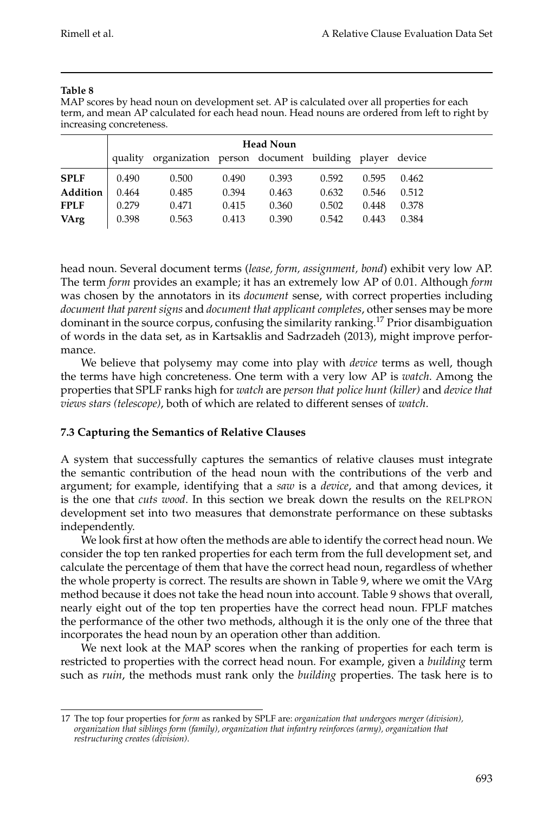| increasing concreteness. |         |                                                     |       |       |       |       |       |  |  |  |  |  |
|--------------------------|---------|-----------------------------------------------------|-------|-------|-------|-------|-------|--|--|--|--|--|
|                          |         | <b>Head Noun</b>                                    |       |       |       |       |       |  |  |  |  |  |
|                          | quality | organization person document building player device |       |       |       |       |       |  |  |  |  |  |
| <b>SPLF</b>              | 0.490   | 0.500                                               | 0.490 | 0.393 | 0.592 | 0.595 | 0.462 |  |  |  |  |  |
| Addition                 | 0.464   | 0.485                                               | 0.394 | 0.463 | 0.632 | 0.546 | 0.512 |  |  |  |  |  |
| <b>FPLF</b>              | 0.279   | 0.471                                               | 0.415 | 0.360 | 0.502 | 0.448 | 0.378 |  |  |  |  |  |
| VArg                     | 0.398   | 0.563                                               | 0.413 | 0.390 | 0.542 | 0.443 | 0.384 |  |  |  |  |  |

MAP scores by head noun on development set. AP is calculated over all properties for each term, and mean AP calculated for each head noun. Head nouns are ordered from left to right by increasing concreteness.

head noun. Several document terms (*lease, form, assignment, bond*) exhibit very low AP. The term *form* provides an example; it has an extremely low AP of 0.01. Although *form* was chosen by the annotators in its *document* sense, with correct properties including *document that parent signs* and *document that applicant completes*, other senses may be more dominant in the source corpus, confusing the similarity ranking.<sup>17</sup> Prior disambiguation of words in the data set, as in Kartsaklis and Sadrzadeh (2013), might improve performance.

We believe that polysemy may come into play with *device* terms as well, though the terms have high concreteness. One term with a very low AP is *watch*. Among the properties that SPLF ranks high for *watch* are *person that police hunt (killer)* and *device that views stars (telescope)*, both of which are related to different senses of *watch*.

### **7.3 Capturing the Semantics of Relative Clauses**

A system that successfully captures the semantics of relative clauses must integrate the semantic contribution of the head noun with the contributions of the verb and argument; for example, identifying that a *saw* is a *device*, and that among devices, it is the one that *cuts wood*. In this section we break down the results on the RELPRON development set into two measures that demonstrate performance on these subtasks independently.

We look first at how often the methods are able to identify the correct head noun. We consider the top ten ranked properties for each term from the full development set, and calculate the percentage of them that have the correct head noun, regardless of whether the whole property is correct. The results are shown in Table 9, where we omit the VArg method because it does not take the head noun into account. Table 9 shows that overall, nearly eight out of the top ten properties have the correct head noun. FPLF matches the performance of the other two methods, although it is the only one of the three that incorporates the head noun by an operation other than addition.

We next look at the MAP scores when the ranking of properties for each term is restricted to properties with the correct head noun. For example, given a *building* term such as *ruin*, the methods must rank only the *building* properties. The task here is to

<sup>17</sup> The top four properties for *form* as ranked by SPLF are: *organization that undergoes merger (division), organization that siblings form (family), organization that infantry reinforces (army), organization that restructuring creates (division)*.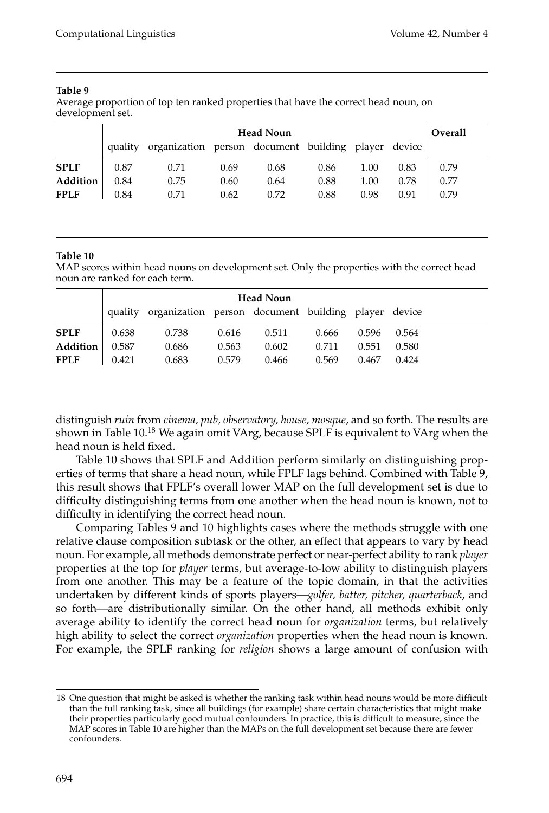Average proportion of top ten ranked properties that have the correct head noun, on development set.

|             |         | <b>Overall</b>                                      |      |      |      |      |      |      |
|-------------|---------|-----------------------------------------------------|------|------|------|------|------|------|
|             | quality | organization person document building player device |      |      |      |      |      |      |
| <b>SPLF</b> | 0.87    | 0.71                                                | 0.69 | 0.68 | 0.86 | 1.00 | 0.83 | 0.79 |
| Addition    | 0.84    | 0.75                                                | 0.60 | 0.64 | 0.88 | 1.00 | 0.78 | 0.77 |
| <b>FPLF</b> | 0.84    | 0.71                                                | 0.62 | 0.72 | 0.88 | 0.98 | 0.91 | 0.79 |

#### **Table 10**

MAP scores within head nouns on development set. Only the properties with the correct head noun are ranked for each term.

|             | <b>Head Noun</b> |                                                             |       |       |       |       |       |  |
|-------------|------------------|-------------------------------------------------------------|-------|-------|-------|-------|-------|--|
|             |                  | quality organization person document building player device |       |       |       |       |       |  |
| <b>SPLF</b> | 0.638            | 0.738                                                       | 0.616 | 0.511 | 0.666 | 0.596 | 0.564 |  |
| Addition    | 0.587            | 0.686                                                       | 0.563 | 0.602 | 0.711 | 0.551 | 0.580 |  |
| <b>FPLF</b> | 0.421            | 0.683                                                       | 0.579 | 0.466 | 0.569 | 0.467 | 0.424 |  |

distinguish *ruin* from *cinema, pub, observatory, house, mosque*, and so forth. The results are shown in Table 10.<sup>18</sup> We again omit VArg, because SPLF is equivalent to VArg when the head noun is held fixed.

Table 10 shows that SPLF and Addition perform similarly on distinguishing properties of terms that share a head noun, while FPLF lags behind. Combined with Table 9, this result shows that FPLF's overall lower MAP on the full development set is due to difficulty distinguishing terms from one another when the head noun is known, not to difficulty in identifying the correct head noun.

Comparing Tables 9 and 10 highlights cases where the methods struggle with one relative clause composition subtask or the other, an effect that appears to vary by head noun. For example, all methods demonstrate perfect or near-perfect ability to rank *player* properties at the top for *player* terms, but average-to-low ability to distinguish players from one another. This may be a feature of the topic domain, in that the activities undertaken by different kinds of sports players—*golfer, batter, pitcher, quarterback*, and so forth—are distributionally similar. On the other hand, all methods exhibit only average ability to identify the correct head noun for *organization* terms, but relatively high ability to select the correct *organization* properties when the head noun is known. For example, the SPLF ranking for *religion* shows a large amount of confusion with

<sup>18</sup> One question that might be asked is whether the ranking task within head nouns would be more difficult than the full ranking task, since all buildings (for example) share certain characteristics that might make their properties particularly good mutual confounders. In practice, this is difficult to measure, since the MAP scores in Table 10 are higher than the MAPs on the full development set because there are fewer confounders.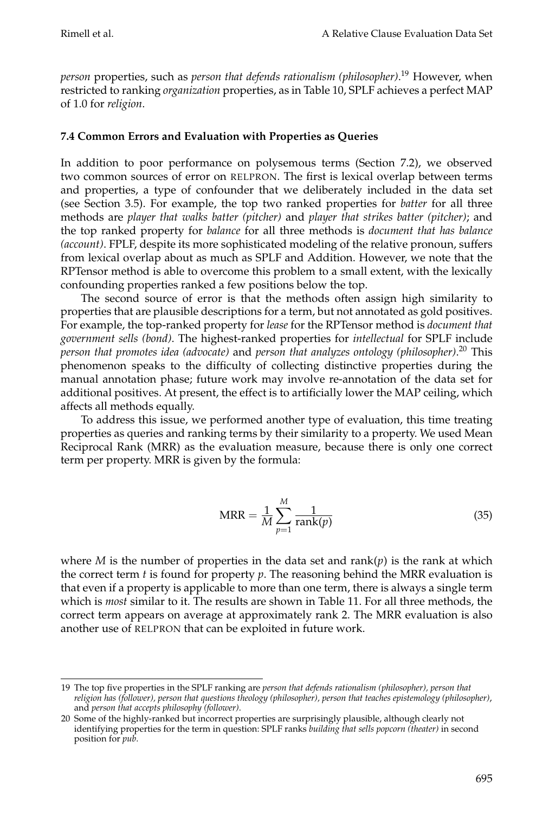*person* properties, such as *person that defends rationalism (philosopher)*. <sup>19</sup> However, when restricted to ranking *organization* properties, as in Table 10, SPLF achieves a perfect MAP of 1.0 for *religion*.

### **7.4 Common Errors and Evaluation with Properties as Queries**

In addition to poor performance on polysemous terms (Section 7.2), we observed two common sources of error on RELPRON. The first is lexical overlap between terms and properties, a type of confounder that we deliberately included in the data set (see Section 3.5). For example, the top two ranked properties for *batter* for all three methods are *player that walks batter (pitcher)* and *player that strikes batter (pitcher)*; and the top ranked property for *balance* for all three methods is *document that has balance (account)*. FPLF, despite its more sophisticated modeling of the relative pronoun, suffers from lexical overlap about as much as SPLF and Addition. However, we note that the RPTensor method is able to overcome this problem to a small extent, with the lexically confounding properties ranked a few positions below the top.

The second source of error is that the methods often assign high similarity to properties that are plausible descriptions for a term, but not annotated as gold positives. For example, the top-ranked property for *lease* for the RPTensor method is *document that government sells (bond)*. The highest-ranked properties for *intellectual* for SPLF include *person that promotes idea (advocate)* and *person that analyzes ontology (philosopher)*. <sup>20</sup> This phenomenon speaks to the difficulty of collecting distinctive properties during the manual annotation phase; future work may involve re-annotation of the data set for additional positives. At present, the effect is to artificially lower the MAP ceiling, which affects all methods equally.

To address this issue, we performed another type of evaluation, this time treating properties as queries and ranking terms by their similarity to a property. We used Mean Reciprocal Rank (MRR) as the evaluation measure, because there is only one correct term per property. MRR is given by the formula:

$$
MRR = \frac{1}{M} \sum_{p=1}^{M} \frac{1}{\text{rank}(p)}\tag{35}
$$

where *M* is the number of properties in the data set and rank $(p)$  is the rank at which the correct term  $t$  is found for property  $p$ . The reasoning behind the MRR evaluation is that even if a property is applicable to more than one term, there is always a single term which is *most* similar to it. The results are shown in Table 11. For all three methods, the correct term appears on average at approximately rank 2. The MRR evaluation is also another use of RELPRON that can be exploited in future work.

<sup>19</sup> The top five properties in the SPLF ranking are *person that defends rationalism (philosopher), person that religion has (follower), person that questions theology (philosopher), person that teaches epistemology (philosopher)*, and *person that accepts philosophy (follower)*.

<sup>20</sup> Some of the highly-ranked but incorrect properties are surprisingly plausible, although clearly not identifying properties for the term in question: SPLF ranks *building that sells popcorn (theater)* in second position for *pub*.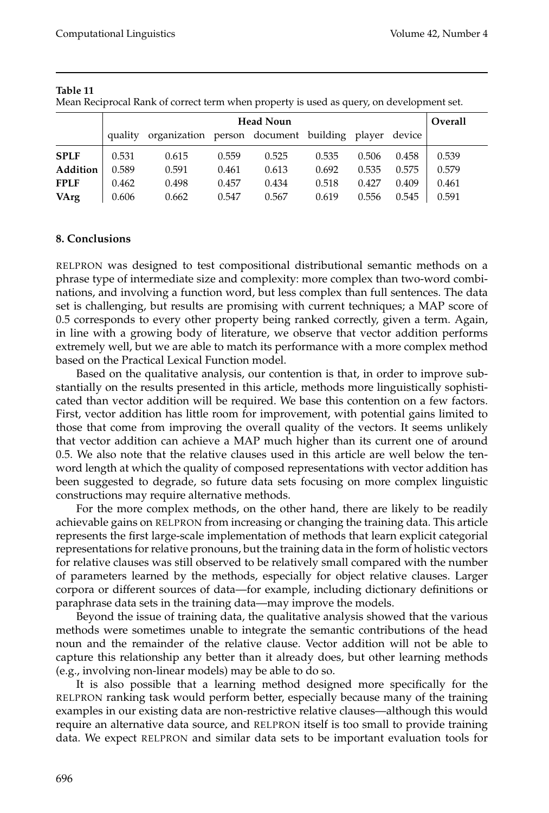| wican incerprocar namn or correct term which property is ascu as query, on ucveropment set. |         |                                              |       |       |       |       |        |       |  |
|---------------------------------------------------------------------------------------------|---------|----------------------------------------------|-------|-------|-------|-------|--------|-------|--|
|                                                                                             |         | <b>Overall</b>                               |       |       |       |       |        |       |  |
|                                                                                             | quality | organization person document building player |       |       |       |       | device |       |  |
| <b>SPLF</b>                                                                                 | 0.531   | 0.615                                        | 0.559 | 0.525 | 0.535 | 0.506 | 0.458  | 0.539 |  |
| Addition                                                                                    | 0.589   | 0.591                                        | 0.461 | 0.613 | 0.692 | 0.535 | 0.575  | 0.579 |  |
| <b>FPLF</b>                                                                                 | 0.462   | 0.498                                        | 0.457 | 0.434 | 0.518 | 0.427 | 0.409  | 0.461 |  |
| VArg                                                                                        | 0.606   | 0.662                                        | 0.547 | 0.567 | 0.619 | 0.556 | 0.545  | 0.591 |  |

Mean Reciprocal Rank of correct term when property is used as query, on development set.

#### **8. Conclusions**

RELPRON was designed to test compositional distributional semantic methods on a phrase type of intermediate size and complexity: more complex than two-word combinations, and involving a function word, but less complex than full sentences. The data set is challenging, but results are promising with current techniques; a MAP score of 0.5 corresponds to every other property being ranked correctly, given a term. Again, in line with a growing body of literature, we observe that vector addition performs extremely well, but we are able to match its performance with a more complex method based on the Practical Lexical Function model.

Based on the qualitative analysis, our contention is that, in order to improve substantially on the results presented in this article, methods more linguistically sophisticated than vector addition will be required. We base this contention on a few factors. First, vector addition has little room for improvement, with potential gains limited to those that come from improving the overall quality of the vectors. It seems unlikely that vector addition can achieve a MAP much higher than its current one of around 0.5. We also note that the relative clauses used in this article are well below the tenword length at which the quality of composed representations with vector addition has been suggested to degrade, so future data sets focusing on more complex linguistic constructions may require alternative methods.

For the more complex methods, on the other hand, there are likely to be readily achievable gains on RELPRON from increasing or changing the training data. This article represents the first large-scale implementation of methods that learn explicit categorial representations for relative pronouns, but the training data in the form of holistic vectors for relative clauses was still observed to be relatively small compared with the number of parameters learned by the methods, especially for object relative clauses. Larger corpora or different sources of data—for example, including dictionary definitions or paraphrase data sets in the training data—may improve the models.

Beyond the issue of training data, the qualitative analysis showed that the various methods were sometimes unable to integrate the semantic contributions of the head noun and the remainder of the relative clause. Vector addition will not be able to capture this relationship any better than it already does, but other learning methods (e.g., involving non-linear models) may be able to do so.

It is also possible that a learning method designed more specifically for the RELPRON ranking task would perform better, especially because many of the training examples in our existing data are non-restrictive relative clauses—although this would require an alternative data source, and RELPRON itself is too small to provide training data. We expect RELPRON and similar data sets to be important evaluation tools for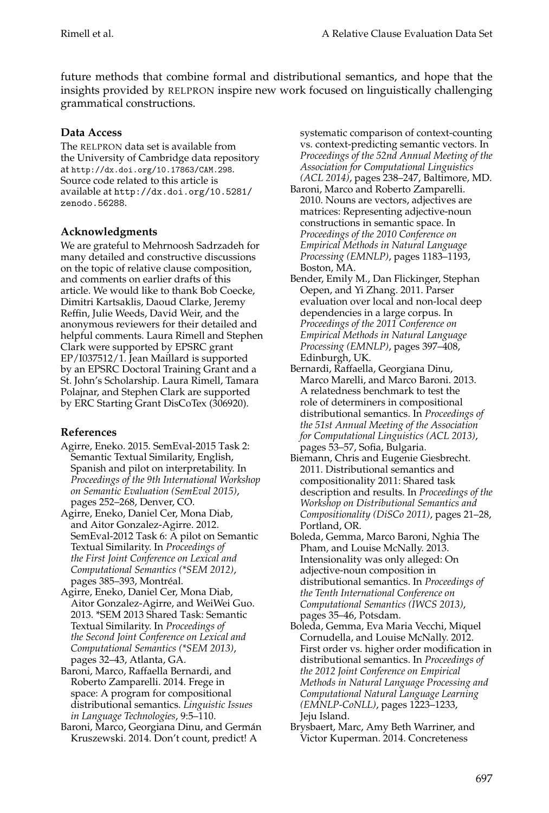future methods that combine formal and distributional semantics, and hope that the insights provided by RELPRON inspire new work focused on linguistically challenging grammatical constructions.

### **Data Access**

The RELPRON data set is available from the University of Cambridge data repository at http://dx.doi.org/10.17863/CAM.298. Source code related to this article is available at http://dx.doi.org/10.5281/ zenodo.56288.

# **Acknowledgments**

We are grateful to Mehrnoosh Sadrzadeh for many detailed and constructive discussions on the topic of relative clause composition, and comments on earlier drafts of this article. We would like to thank Bob Coecke, Dimitri Kartsaklis, Daoud Clarke, Jeremy Reffin, Julie Weeds, David Weir, and the anonymous reviewers for their detailed and helpful comments. Laura Rimell and Stephen Clark were supported by EPSRC grant EP/I037512/1. Jean Maillard is supported by an EPSRC Doctoral Training Grant and a St. John's Scholarship. Laura Rimell, Tamara Polajnar, and Stephen Clark are supported by ERC Starting Grant DisCoTex (306920).

# **References**

- Agirre, Eneko. 2015. SemEval-2015 Task 2: Semantic Textual Similarity, English, Spanish and pilot on interpretability. In *Proceedings of the 9th International Workshop on Semantic Evaluation (SemEval 2015)*, pages 252–268, Denver, CO.
- Agirre, Eneko, Daniel Cer, Mona Diab, and Aitor Gonzalez-Agirre. 2012. SemEval-2012 Task 6: A pilot on Semantic Textual Similarity. In *Proceedings of the First Joint Conference on Lexical and Computational Semantics (\*SEM 2012)*, pages 385–393, Montréal.
- Agirre, Eneko, Daniel Cer, Mona Diab, Aitor Gonzalez-Agirre, and WeiWei Guo. 2013. \*SEM 2013 Shared Task: Semantic Textual Similarity. In *Proceedings of the Second Joint Conference on Lexical and Computational Semantics (\*SEM 2013)*, pages 32–43, Atlanta, GA.
- Baroni, Marco, Raffaella Bernardi, and Roberto Zamparelli. 2014. Frege in space: A program for compositional distributional semantics. *Linguistic Issues in Language Technologies*, 9:5–110.
- Baroni, Marco, Georgiana Dinu, and Germán Kruszewski. 2014. Don't count, predict! A

systematic comparison of context-counting vs. context-predicting semantic vectors. In *Proceedings of the 52nd Annual Meeting of the Association for Computational Linguistics (ACL 2014)*, pages 238–247, Baltimore, MD.

- Baroni, Marco and Roberto Zamparelli. 2010. Nouns are vectors, adjectives are matrices: Representing adjective-noun constructions in semantic space. In *Proceedings of the 2010 Conference on Empirical Methods in Natural Language Processing (EMNLP)*, pages 1183–1193, Boston, MA.
- Bender, Emily M., Dan Flickinger, Stephan Oepen, and Yi Zhang. 2011. Parser evaluation over local and non-local deep dependencies in a large corpus. In *Proceedings of the 2011 Conference on Empirical Methods in Natural Language Processing (EMNLP)*, pages 397–408, Edinburgh, UK.
- Bernardi, Raffaella, Georgiana Dinu, Marco Marelli, and Marco Baroni. 2013. A relatedness benchmark to test the role of determiners in compositional distributional semantics. In *Proceedings of the 51st Annual Meeting of the Association for Computational Linguistics (ACL 2013)*, pages 53–57, Sofia, Bulgaria.
- Biemann, Chris and Eugenie Giesbrecht. 2011. Distributional semantics and compositionality 2011: Shared task description and results. In *Proceedings of the Workshop on Distributional Semantics and Compositionality (DiSCo 2011)*, pages 21–28, Portland, OR.
- Boleda, Gemma, Marco Baroni, Nghia The Pham, and Louise McNally. 2013. Intensionality was only alleged: On adjective-noun composition in distributional semantics. In *Proceedings of the Tenth International Conference on Computational Semantics (IWCS 2013)*, pages 35–46, Potsdam.
- Boleda, Gemma, Eva Maria Vecchi, Miquel Cornudella, and Louise McNally. 2012. First order vs. higher order modification in distributional semantics. In *Proceedings of the 2012 Joint Conference on Empirical Methods in Natural Language Processing and Computational Natural Language Learning (EMNLP-CoNLL)*, pages 1223–1233, Jeju Island.
- Brysbaert, Marc, Amy Beth Warriner, and Victor Kuperman. 2014. Concreteness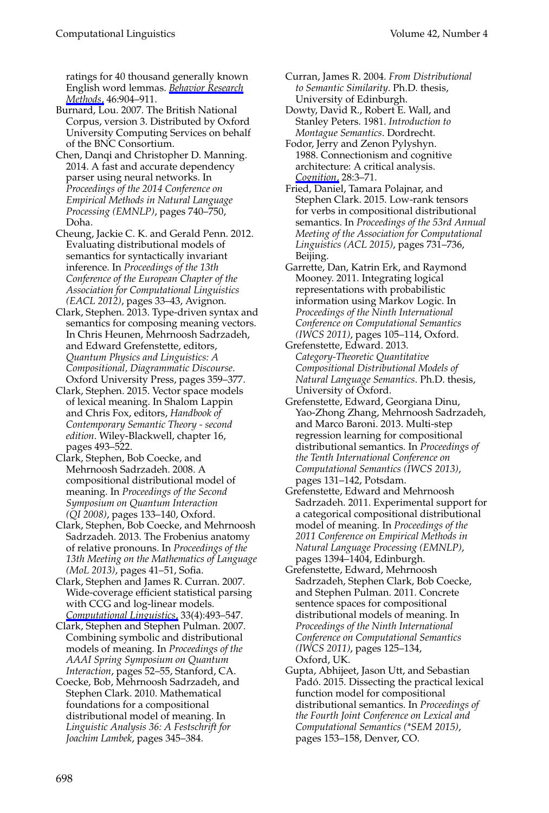ratings for 40 thousand generally known English word lemmas. *[Behavior Research](http://www.mitpressjournals.org/action/showLinks?crossref=10.3758%2Fs13428-013-0403-5) [Methods](http://www.mitpressjournals.org/action/showLinks?crossref=10.3758%2Fs13428-013-0403-5)*, 46:904–911.

- Burnard, Lou. 2007. The British National Corpus, version 3. Distributed by Oxford University Computing Services on behalf of the BNC Consortium.
- Chen, Danqi and Christopher D. Manning. 2014. A fast and accurate dependency parser using neural networks. In *Proceedings of the 2014 Conference on Empirical Methods in Natural Language Processing (EMNLP)*, pages 740–750, Doha.
- Cheung, Jackie C. K. and Gerald Penn. 2012. Evaluating distributional models of semantics for syntactically invariant inference. In *Proceedings of the 13th Conference of the European Chapter of the Association for Computational Linguistics (EACL 2012)*, pages 33–43, Avignon.
- Clark, Stephen. 2013. Type-driven syntax and semantics for composing meaning vectors. In Chris Heunen, Mehrnoosh Sadrzadeh, and Edward Grefenstette, editors, *Quantum Physics and Linguistics: A Compositional, Diagrammatic Discourse*. Oxford University Press, pages 359–377.
- Clark, Stephen. 2015. Vector space models of lexical meaning. In Shalom Lappin and Chris Fox, editors, *Handbook of Contemporary Semantic Theory - second edition*. Wiley-Blackwell, chapter 16, pages 493–522.
- Clark, Stephen, Bob Coecke, and Mehrnoosh Sadrzadeh. 2008. A compositional distributional model of meaning. In *Proceedings of the Second Symposium on Quantum Interaction (QI 2008)*, pages 133–140, Oxford.
- Clark, Stephen, Bob Coecke, and Mehrnoosh Sadrzadeh. 2013. The Frobenius anatomy of relative pronouns. In *Proceedings of the 13th Meeting on the Mathematics of Language (MoL 2013)*, pages 41–51, Sofia.
- Clark, Stephen and James R. Curran. 2007. Wide-coverage efficient statistical parsing with CCG and log-linear models. *[Computational Linguistics](http://www.mitpressjournals.org/action/showLinks?system=10.1162%2Fcoli.2007.33.4.493)*, 33(4):493–547.
- Clark, Stephen and Stephen Pulman. 2007. Combining symbolic and distributional models of meaning. In *Proceedings of the AAAI Spring Symposium on Quantum Interaction*, pages 52–55, Stanford, CA.
- Coecke, Bob, Mehrnoosh Sadrzadeh, and Stephen Clark. 2010. Mathematical foundations for a compositional distributional model of meaning. In *Linguistic Analysis 36: A Festschrift for Joachim Lambek*, pages 345–384.
- Curran, James R. 2004. *From Distributional to Semantic Similarity*. Ph.D. thesis, University of Edinburgh.
- Dowty, David R., Robert E. Wall, and Stanley Peters. 1981. *Introduction to Montague Semantics*. Dordrecht.
- Fodor, Jerry and Zenon Pylyshyn. 1988. Connectionism and cognitive architecture: A critical analysis. *[Cognition](http://www.mitpressjournals.org/action/showLinks?crossref=10.1016%2F0010-0277%2888%2990031-5)*, 28:3–71.
- Fried, Daniel, Tamara Polajnar, and Stephen Clark. 2015. Low-rank tensors for verbs in compositional distributional semantics. In *Proceedings of the 53rd Annual Meeting of the Association for Computational Linguistics (ACL 2015)*, pages 731–736, Beijing.
- Garrette, Dan, Katrin Erk, and Raymond Mooney. 2011. Integrating logical representations with probabilistic information using Markov Logic. In *Proceedings of the Ninth International Conference on Computational Semantics (IWCS 2011)*, pages 105–114, Oxford.
- Grefenstette, Edward. 2013. *Category-Theoretic Quantitative Compositional Distributional Models of Natural Language Semantics*. Ph.D. thesis, University of Oxford.
- Grefenstette, Edward, Georgiana Dinu, Yao-Zhong Zhang, Mehrnoosh Sadrzadeh, and Marco Baroni. 2013. Multi-step regression learning for compositional distributional semantics. In *Proceedings of the Tenth International Conference on Computational Semantics (IWCS 2013)*, pages 131–142, Potsdam.
- Grefenstette, Edward and Mehrnoosh Sadrzadeh. 2011. Experimental support for a categorical compositional distributional model of meaning. In *Proceedings of the 2011 Conference on Empirical Methods in Natural Language Processing (EMNLP)*, pages 1394–1404, Edinburgh.
- Grefenstette, Edward, Mehrnoosh Sadrzadeh, Stephen Clark, Bob Coecke, and Stephen Pulman. 2011. Concrete sentence spaces for compositional distributional models of meaning. In *Proceedings of the Ninth International Conference on Computational Semantics (IWCS 2011)*, pages 125–134, Oxford, UK.
- Gupta, Abhijeet, Jason Utt, and Sebastian Padó. 2015. Dissecting the practical lexical function model for compositional distributional semantics. In *Proceedings of the Fourth Joint Conference on Lexical and Computational Semantics (\*SEM 2015)*, pages 153–158, Denver, CO.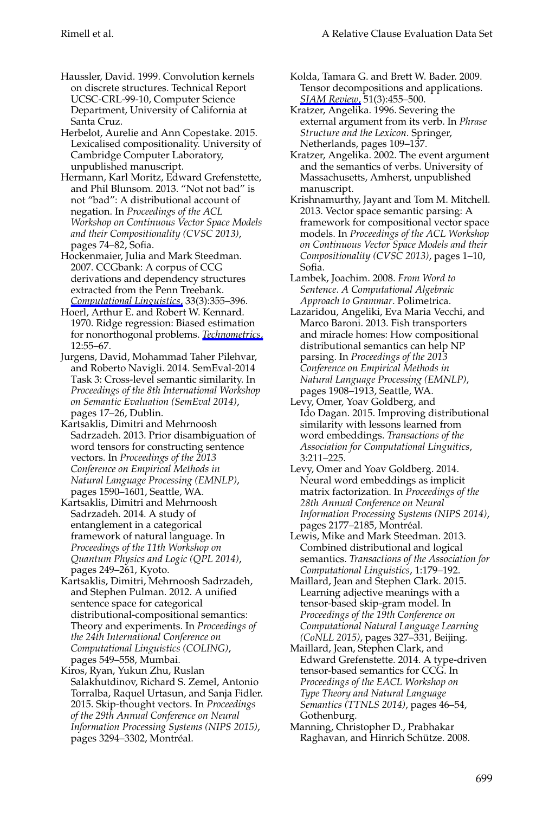- Haussler, David. 1999. Convolution kernels on discrete structures. Technical Report UCSC-CRL-99-10, Computer Science Department, University of California at Santa Cruz.
- Herbelot, Aurelie and Ann Copestake. 2015. Lexicalised compositionality. University of Cambridge Computer Laboratory, unpublished manuscript.
- Hermann, Karl Moritz, Edward Grefenstette, and Phil Blunsom. 2013. "Not not bad" is not "bad": A distributional account of negation. In *Proceedings of the ACL Workshop on Continuous Vector Space Models and their Compositionality (CVSC 2013)*, pages 74–82, Sofia.
- Hockenmaier, Julia and Mark Steedman. 2007. CCGbank: A corpus of CCG derivations and dependency structures extracted from the Penn Treebank. *[Computational Linguistics](http://www.mitpressjournals.org/action/showLinks?system=10.1162%2Fcoli.2007.33.3.355)*, 33(3):355–396.
- Hoerl, Arthur E. and Robert W. Kennard. 1970. Ridge regression: Biased estimation for nonorthogonal problems. *[Technometrics](http://www.mitpressjournals.org/action/showLinks?crossref=10.2307%2F1267351)*, 12:55–67.
- Jurgens, David, Mohammad Taher Pilehvar, and Roberto Navigli. 2014. SemEval-2014 Task 3: Cross-level semantic similarity. In *Proceedings of the 8th International Workshop on Semantic Evaluation (SemEval 2014)*, pages 17–26, Dublin.
- Kartsaklis, Dimitri and Mehrnoosh Sadrzadeh. 2013. Prior disambiguation of word tensors for constructing sentence vectors. In *Proceedings of the 2013 Conference on Empirical Methods in Natural Language Processing (EMNLP)*, pages 1590–1601, Seattle, WA.
- Kartsaklis, Dimitri and Mehrnoosh Sadrzadeh. 2014. A study of entanglement in a categorical framework of natural language. In *Proceedings of the 11th Workshop on Quantum Physics and Logic (QPL 2014)*, pages 249–261, Kyoto.
- Kartsaklis, Dimitri, Mehrnoosh Sadrzadeh, and Stephen Pulman. 2012. A unified sentence space for categorical distributional-compositional semantics: Theory and experiments. In *Proceedings of the 24th International Conference on Computational Linguistics (COLING)*, pages 549–558, Mumbai.
- Kiros, Ryan, Yukun Zhu, Ruslan Salakhutdinov, Richard S. Zemel, Antonio Torralba, Raquel Urtasun, and Sanja Fidler. 2015. Skip-thought vectors. In *Proceedings of the 29th Annual Conference on Neural Information Processing Systems (NIPS 2015)*, pages 3294-3302, Montréal.
- Kolda, Tamara G. and Brett W. Bader. 2009. Tensor decompositions and applications. *[SIAM Review](http://www.mitpressjournals.org/action/showLinks?crossref=10.1137%2F07070111X)*, 51(3):455–500.
- Kratzer, Angelika. 1996. Severing the external argument from its verb. In *Phrase Structure and the Lexicon*. Springer, Netherlands, pages 109–137.
- Kratzer, Angelika. 2002. The event argument and the semantics of verbs. University of Massachusetts, Amherst, unpublished manuscript.
- Krishnamurthy, Jayant and Tom M. Mitchell. 2013. Vector space semantic parsing: A framework for compositional vector space models. In *Proceedings of the ACL Workshop on Continuous Vector Space Models and their Compositionality (CVSC 2013)*, pages 1–10, Sofia.
- Lambek, Joachim. 2008. *From Word to Sentence. A Computational Algebraic Approach to Grammar*. Polimetrica.
- Lazaridou, Angeliki, Eva Maria Vecchi, and Marco Baroni. 2013. Fish transporters and miracle homes: How compositional distributional semantics can help NP parsing. In *Proceedings of the 2013 Conference on Empirical Methods in Natural Language Processing (EMNLP)*, pages 1908–1913, Seattle, WA.
- Levy, Omer, Yoav Goldberg, and Ido Dagan. 2015. Improving distributional similarity with lessons learned from word embeddings. *Transactions of the Association for Computational Linguitics*, 3:211–225.
- Levy, Omer and Yoav Goldberg. 2014. Neural word embeddings as implicit matrix factorization. In *Proceedings of the 28th Annual Conference on Neural Information Processing Systems (NIPS 2014)*, pages 2177-2185, Montréal.
- Lewis, Mike and Mark Steedman. 2013. Combined distributional and logical semantics. *Transactions of the Association for Computational Linguistics*, 1:179–192.
- Maillard, Jean and Stephen Clark. 2015. Learning adjective meanings with a tensor-based skip-gram model. In *Proceedings of the 19th Conference on Computational Natural Language Learning (CoNLL 2015)*, pages 327–331, Beijing.
- Maillard, Jean, Stephen Clark, and Edward Grefenstette. 2014. A type-driven tensor-based semantics for CCG. In *Proceedings of the EACL Workshop on Type Theory and Natural Language Semantics (TTNLS 2014)*, pages 46–54, Gothenburg.
- Manning, Christopher D., Prabhakar Raghavan, and Hinrich Schütze. 2008.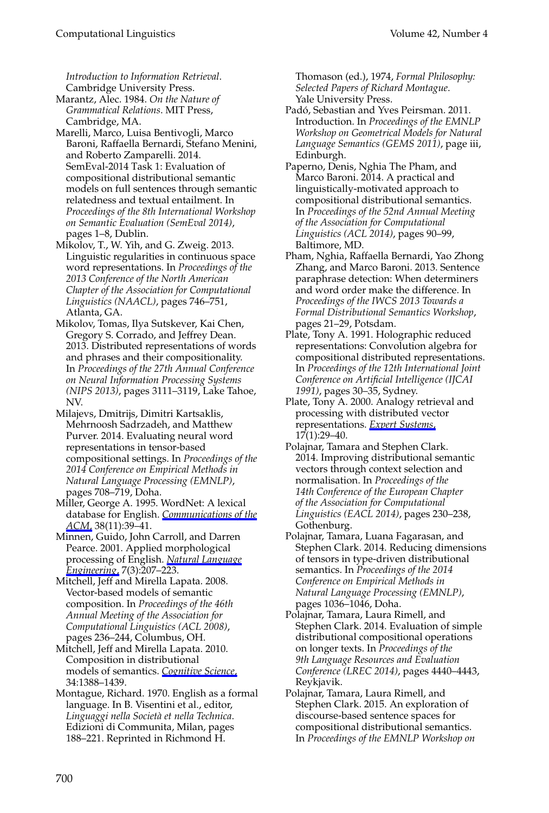*Introduction to Information Retrieval*. Cambridge University Press.

- Marantz, Alec. 1984. *On the Nature of Grammatical Relations*. MIT Press, Cambridge, MA.
- Marelli, Marco, Luisa Bentivogli, Marco Baroni, Raffaella Bernardi, Stefano Menini, and Roberto Zamparelli. 2014. SemEval-2014 Task 1: Evaluation of compositional distributional semantic models on full sentences through semantic relatedness and textual entailment. In *Proceedings of the 8th International Workshop on Semantic Evaluation (SemEval 2014)*, pages 1–8, Dublin.
- Mikolov, T., W. Yih, and G. Zweig. 2013. Linguistic regularities in continuous space word representations. In *Proceedings of the 2013 Conference of the North American Chapter of the Association for Computational Linguistics (NAACL)*, pages 746–751, Atlanta, GA.
- Mikolov, Tomas, Ilya Sutskever, Kai Chen, Gregory S. Corrado, and Jeffrey Dean. 2013. Distributed representations of words and phrases and their compositionality. In *Proceedings of the 27th Annual Conference on Neural Information Processing Systems (NIPS 2013)*, pages 3111–3119, Lake Tahoe, NV.
- Milajevs, Dmitrijs, Dimitri Kartsaklis, Mehrnoosh Sadrzadeh, and Matthew Purver. 2014. Evaluating neural word representations in tensor-based compositional settings. In *Proceedings of the 2014 Conference on Empirical Methods in Natural Language Processing (EMNLP)*, pages 708–719, Doha.
- Miller, George A. 1995. WordNet: A lexical database for English. *[Communications of the](http://www.mitpressjournals.org/action/showLinks?crossref=10.1145%2F219717.219748) [ACM](http://www.mitpressjournals.org/action/showLinks?crossref=10.1145%2F219717.219748)*, 38(11):39–41.
- Minnen, Guido, John Carroll, and Darren Pearce. 2001. Applied morphological processing of English. *[Natural Language](http://www.mitpressjournals.org/action/showLinks?crossref=10.1017%2FS1351324901002728) [Engineering](http://www.mitpressjournals.org/action/showLinks?crossref=10.1017%2FS1351324901002728)*, 7(3):207–223.
- Mitchell, Jeff and Mirella Lapata. 2008. Vector-based models of semantic composition. In *Proceedings of the 46th Annual Meeting of the Association for Computational Linguistics (ACL 2008)*, pages 236–244, Columbus, OH.
- Mitchell, Jeff and Mirella Lapata. 2010. Composition in distributional models of semantics. *[Cognitive Science](http://www.mitpressjournals.org/action/showLinks?crossref=10.1111%2Fj.1551-6709.2010.01106.x)*, 34:1388–1439.
- Montague, Richard. 1970. English as a formal language. In B. Visentini et al., editor, *Linguaggi nella Societ`a et nella Technica*. Edizioni di Communita, Milan, pages 188–221. Reprinted in Richmond H.

Thomason (ed.), 1974, *Formal Philosophy: Selected Papers of Richard Montague*. Yale University Press.

- Padó, Sebastian and Yves Peirsman. 2011. Introduction. In *Proceedings of the EMNLP Workshop on Geometrical Models for Natural Language Semantics (GEMS 2011)*, page iii, Edinburgh.
- Paperno, Denis, Nghia The Pham, and Marco Baroni. 2014. A practical and linguistically-motivated approach to compositional distributional semantics. In *Proceedings of the 52nd Annual Meeting of the Association for Computational Linguistics (ACL 2014)*, pages 90–99, Baltimore, MD.
- Pham, Nghia, Raffaella Bernardi, Yao Zhong Zhang, and Marco Baroni. 2013. Sentence paraphrase detection: When determiners and word order make the difference. In *Proceedings of the IWCS 2013 Towards a Formal Distributional Semantics Workshop*, pages 21–29, Potsdam.
- Plate, Tony A. 1991. Holographic reduced representations: Convolution algebra for compositional distributed representations. In *Proceedings of the 12th International Joint Conference on Artificial Intelligence (IJCAI 1991)*, pages 30–35, Sydney.
- Plate, Tony A. 2000. Analogy retrieval and processing with distributed vector representations. *[Expert Systems](http://www.mitpressjournals.org/action/showLinks?crossref=10.1111%2F1468-0394.00125)*, 17(1):29–40.
- Polajnar, Tamara and Stephen Clark. 2014. Improving distributional semantic vectors through context selection and normalisation. In *Proceedings of the 14th Conference of the European Chapter of the Association for Computational Linguistics (EACL 2014)*, pages 230–238, Gothenburg.
- Polajnar, Tamara, Luana Fagarasan, and Stephen Clark. 2014. Reducing dimensions of tensors in type-driven distributional semantics. In *Proceedings of the 2014 Conference on Empirical Methods in Natural Language Processing (EMNLP)*, pages 1036–1046, Doha.
- Polajnar, Tamara, Laura Rimell, and Stephen Clark. 2014. Evaluation of simple distributional compositional operations on longer texts. In *Proceedings of the 9th Language Resources and Evaluation Conference (LREC 2014)*, pages 4440–4443, Reykjavik.
- Polajnar, Tamara, Laura Rimell, and Stephen Clark. 2015. An exploration of discourse-based sentence spaces for compositional distributional semantics. In *Proceedings of the EMNLP Workshop on*